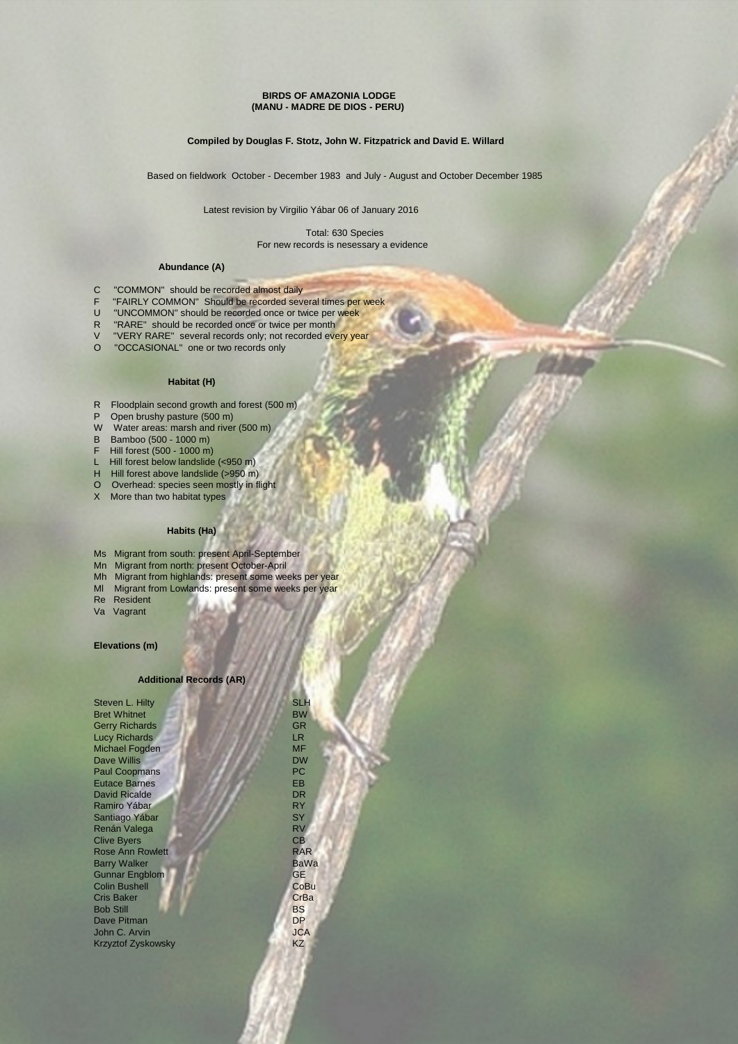### **BIRDS OF AMAZONIA LODGE (MANU - MADRE DE DIOS - PERU)**

## **Compiled by Douglas F. Stotz, John W. Fitzpatrick and David E. Willard**

Based on fieldwork October - December 1983 and July - August and October December 1985

Latest revision by Virgilio Yábar 06 of January 2016

 Total: 630 Species For new records is nesessary a evidence

### **Abundance (A)**

- C "COMMON" should be recorded almost daily<br>F "FAIRLY COMMON" Should be recorded sever
- F "FAIRLY COMMON" Should be recorded several times per week<br>U "UNCOMMON" should be recorded once or twice per week
- "UNCOMMON" should be recorded once or twice per week
- R "RARE" should be recorded once or twice per month<br>V "VERY RARE" several records only: not recorded ever
- V "VERY RARE" several records only; not recorded every year<br>O "OCCASIONAL" one or two records only
- "OCCASIONAL" one or two records only

### **Habitat (H)**

- R Floodplain second growth and forest (500 m)
- P Open brushy pasture (500 m)
- W Water areas: marsh and river (500 m)
- B Bamboo (500 1000 m)
- F Hill forest (500 1000 m)
- L Hill forest below landslide (<950 m)
- H Hill forest above landslide (>950 m)
- O Overhead: species seen mostly in flight
- X More than two habitat types

# **Habits (Ha)**

- Ms Migrant from south: present April-September
- Mn Migrant from north: present October-April
- Mh Migrant from highlands: present some weeks per year
- Ml Migrant from Lowlands: present some weeks per year
- Re Resident
- Va Vagrant

## **Elevations (m)**

### **Additional Records (AR)**

| Steven L. Hilty           | <b>SLH</b>  |
|---------------------------|-------------|
| <b>Bret Whitnet</b>       | <b>BW</b>   |
| <b>Gerry Richards</b>     | <b>GR</b>   |
| <b>Lucy Richards</b>      | LR.         |
| <b>Michael Fogden</b>     | <b>MF</b>   |
| <b>Dave Willis</b>        | <b>DW</b>   |
| <b>Paul Coopmans</b>      | <b>PC</b>   |
| <b>Eutace Barnes</b>      | <b>EB</b>   |
| <b>David Ricalde</b>      | <b>DR</b>   |
| Ramiro Yábar              | <b>RY</b>   |
| Santiago Yábar            | <b>SY</b>   |
| Renán Valega              | <b>RV</b>   |
| <b>Clive Byers</b>        | CB          |
| <b>Rose Ann Rowlett</b>   | <b>RAR</b>  |
| <b>Barry Walker</b>       | <b>BaWa</b> |
| <b>Gunnar Engblom</b>     | GE          |
| <b>Colin Bushell</b>      | CoBu        |
| <b>Cris Baker</b>         | CrBa        |
| <b>Bob Still</b>          | <b>BS</b>   |
| Dave Pitman               | <b>DP</b>   |
| John C. Arvin             | <b>JCA</b>  |
| <b>Krzyztof Zyskowsky</b> | <b>KZ</b>   |
|                           |             |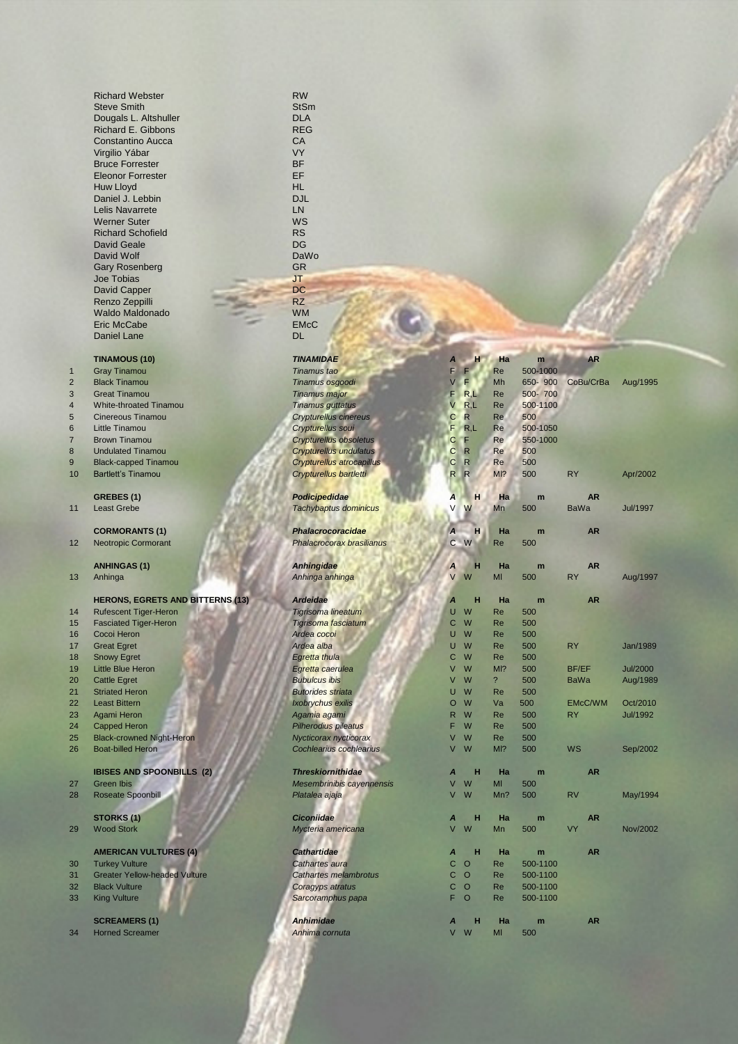Richard Webster RW Steve Smith Dougals L. Altshuller Richard E. Gibbons Constantino Aucca Virgilio Yábar **Bruce Forrester** Eleonor Forrester Huw Lloyd Daniel J. Lebbin Lelis Navarrete Werner Suter Richard Schofield David Geale David Wolf Gary Rosenberg Joe Tobias JT<br>David Capper **DC**<br>Renzo Zeppilli RZ David Capper Renzo Zeppilli RZ<br>Waldo Maldonado MM Waldo Maldonado **WM**<br>Eric McCabe **EMCC** Eric McCabe Daniel Lane DL

# **TINAMOUS (10) TINAMIDAE 100**

|    | <b>HERONS, EGRETS AND BITTERNS</b> |
|----|------------------------------------|
| 14 | <b>Rufescent Tiger-Heron</b>       |
| 15 | <b>Fasciated Tiger-Heron</b>       |
| 16 | Cocoi Heron                        |
| 17 | <b>Great Egret</b>                 |
| 18 | <b>Snowy Egret</b>                 |
| 19 | <b>Little Blue Heron</b>           |
| 20 | <b>Cattle Egret</b>                |
| 21 | <b>Striated Heron</b>              |
| 22 | <b>Least Bittern</b>               |
| 23 | Agami Heron                        |
| 24 | <b>Capped Heron</b>                |
| 25 | <b>Black-crowned Night-Heron</b>   |
| 26 | <b>Boat-billed Heron</b>           |
|    |                                    |
|    | <b>IBISES AND SPOONBILLS (2)</b>   |
| 27 | Groop Ibic                         |

- 28 Roseate Spoonbill **Platacea and Platacea and Platacea and Platacea and Platacea and Platacea**
- 

# **AMERICAN VULTURES (4) <b>Cathartidae Cathartidae 1**<br>Turkey Vulture

- 
- 30 Turkey Vulture **Cathartes and Cathartes and Cathartes Cathartes Cathartes Cathartes and Cathartes and Cathartes and Cathartes and Cathartes and Cathartes and Cathartes and Cathartes and Cathartes and Cathartes and Catha** 31 Greater Yellow-headed Vulture
- 32 Black Vulture **Coragy at the Second Coragy Coragy**
- 33 King Vulture *Sarcoramphus papa* F O Re 500-1100

### **SCREAMERS (1) Anh**

34 Horned Screamer **Anhima company Anhima cornel Anhima cornel Anhima cornel Anhima cornel Anhima cornel Anhima cornel Anhima cornel Anhima cornel Anhima cornel Anhima cornel Anhima cornel Anhima cornel Anhima cornel Anhim** 

| <b>StSm</b> |
|-------------|
| DLA         |
| REG         |
| СA          |
| VY          |
| BF          |
| EF          |
| HL          |
| DJL         |
| LN          |
| WS          |
| RS          |
|             |
| DG          |
| DaWo        |
| GR          |
| JТ          |
|             |

- 
- 

|                | <b>TINAMOUS (10)</b>                    | <b>TINAMIDAE</b>              | Α                             | ш                        | Ha<br>m  | <b>AR</b>      |                 |
|----------------|-----------------------------------------|-------------------------------|-------------------------------|--------------------------|----------|----------------|-----------------|
| $\overline{1}$ | <b>Gray Tinamou</b>                     | Tinamus tao                   | F<br>F                        | Re                       | 500-1000 |                |                 |
| $\overline{2}$ | <b>Black Tinamou</b>                    | Tinamus osgoodi               | Е<br>V                        | Mh                       | 650-900  | CoBu/CrBa      | Aug/1995        |
| 3              | <b>Great Tinamou</b>                    | <b>Tinamus major</b>          | R,L<br>F                      | Re                       | 500-700  |                |                 |
| 4              | White-throated Tinamou                  | <b>Tinamus guttatus</b>       | R,L<br>V                      | Re                       | 500-1100 |                |                 |
| 5              | Cinereous Tinamou                       | <b>Crypturellus cinereus</b>  | $\mathsf{R}$<br>C             | Re                       | 500      |                |                 |
| 6              | Little Tinamou                          | Crypturellus soui             | R,L<br>F                      | Re                       | 500-1050 |                |                 |
| $\overline{7}$ | <b>Brown Tinamou</b>                    | Crypturellus obsoletus        | С<br>F                        | Re                       | 550-1000 |                |                 |
| 8              | <b>Undulated Tinamou</b>                | <b>Crypturellus undulatus</b> | $\mathbf C$<br>$\mathsf{R}$   | Re                       | 500      |                |                 |
| 9              | <b>Black-capped Tinamou</b>             | Crypturellus atrocapillus     | $\overline{R}$<br>$\mathbf C$ | Re                       | 500      |                |                 |
| 10             | <b>Bartlett's Tinamou</b>               | Crypturellus bartletti        | R<br>R.                       | M12                      | 500      | <b>RY</b>      | Apr/2002        |
|                |                                         |                               |                               |                          |          |                |                 |
|                | GREBES (1)                              | Podicipedidae                 | А                             | H                        | Ha<br>m  | <b>AR</b>      |                 |
| 11             | <b>Least Grebe</b>                      | Tachybaptus dominicus         | W<br>V                        | Mn                       | 500      | <b>BaWa</b>    | <b>Jul/1997</b> |
|                |                                         |                               |                               |                          |          |                |                 |
|                | <b>CORMORANTS (1)</b>                   | <b>Phalacrocoracidae</b>      | $\overline{A}$                | н                        | Ha<br>m  | <b>AR</b>      |                 |
| 12             | <b>Neotropic Cormorant</b>              | Phalacrocorax brasilianus     | C W                           | Re                       | 500      |                |                 |
|                |                                         |                               |                               |                          |          |                |                 |
|                | <b>ANHINGAS (1)</b>                     | Anhingidae                    | A                             | н                        | Ha<br>m  | <b>AR</b>      |                 |
| 13             | Anhinga                                 | Anhinga anhinga               | W<br>V                        | MI                       | 500      | <b>RY</b>      | Aug/1997        |
|                |                                         |                               |                               |                          |          |                |                 |
|                | <b>HERONS, EGRETS AND BITTERNS (13)</b> | <b>Ardeidae</b>               | Α                             | н                        | Ha<br>m  | <b>AR</b>      |                 |
| 14             | <b>Rufescent Tiger-Heron</b>            | <b>Tigrisoma lineatum</b>     | W<br>U                        | Re                       | 500      |                |                 |
| 15             | <b>Fasciated Tiger-Heron</b>            | Tigrisoma fasciatum           | W<br>$\mathsf{C}$             | <b>Re</b>                | 500      |                |                 |
| 16             | Cocoi Heron                             | Ardea cocoi                   | W<br>U                        | Re                       | 500      |                |                 |
| 17             | <b>Great Egret</b>                      | Ardea alba                    | W<br>U                        | <b>Re</b>                | 500      | <b>RY</b>      | Jan/1989        |
| 18             | <b>Snowy Egret</b>                      | Egretta thula                 | W<br>С                        | Re                       | 500      |                |                 |
| 19             | Little Blue Heron                       | Egretta caerulea              | W<br>$\vee$                   | $MI$ ?                   | 500      | <b>BF/EF</b>   | <b>Jul/2000</b> |
| 20             | <b>Cattle Egret</b>                     | <b>Bubulcus ibis</b>          | W<br>V                        | $\overline{\phantom{a}}$ | 500      | <b>BaWa</b>    | Aug/1989        |
| 21             | <b>Striated Heron</b>                   | <b>Butorides striata</b>      | W<br>U                        | <b>Re</b>                | 500      |                |                 |
| 22             | <b>Least Bittern</b>                    | Ixobrychus exilis             | W<br>$\circ$                  | Va                       | 500      | <b>EMcC/WM</b> | Oct/2010        |
| 23             | Agami Heron                             | Agamia agami                  | W<br>R.                       | <b>Re</b>                | 500      | RY             | Jul/1992        |
| 24             | <b>Capped Heron</b>                     | Pilherodius pileatus          | W<br>F                        | <b>Re</b>                | 500      |                |                 |
| 25             | <b>Black-crowned Night-Heron</b>        | Nycticorax nycticorax         | W<br>$\vee$                   | Re                       | 500      |                |                 |
| 26             | <b>Boat-billed Heron</b>                | Cochlearius cochlearius       | W<br>$\vee$                   | MI <sub>2</sub>          | 500      | <b>WS</b>      | Sep/2002        |
|                |                                         |                               |                               |                          |          |                |                 |
|                | <b>IBISES AND SPOONBILLS (2)</b>        | <b>Threskiornithidae</b>      | $\boldsymbol{A}$              | н                        | Ha<br>m  | <b>AR</b>      |                 |
| 27             | <b>Green Ibis</b>                       | Mesembrinibis cayennensis     | W<br>V                        | MI                       | 500      |                |                 |
| 28             | <b>Roseate Spoonbill</b>                | Platalea ajaja                | $\vee$<br>W                   | Mn?                      | 500      | <b>RV</b>      | May/1994        |
|                |                                         |                               |                               |                          |          |                |                 |
|                | <b>STORKS (1)</b>                       | <b>Ciconiidae</b>             | $\boldsymbol{A}$              | н                        | Ha<br>m  | <b>AR</b>      |                 |
| 29             | <b>Wood Stork</b>                       | Mycteria americana            | W<br>$\vee$                   | Mn                       | 500      | VY             | Nov/2002        |
|                |                                         |                               |                               |                          |          |                |                 |
|                | <b>AMERICAN VULTURES (4)</b>            | <b>Cathartidae</b>            | A                             | н                        | Ha<br>m  | <b>AR</b>      |                 |
| 30             | <b>Turkey Vulture</b>                   | Cathartes aura                | $\circ$<br>C                  | Re                       | 500-1100 |                |                 |
| 31             | <b>Greater Yellow-headed Vulture</b>    | <b>Cathartes melambrotus</b>  | $\circ$<br>C                  | Re                       | 500-1100 |                |                 |
| 32             | <b>Black Vulture</b>                    | Coragyps atratus              | $\mathsf{C}$<br>$\circ$       | Re                       | 500-1100 |                |                 |
| 33             | <b>King Vulture</b>                     | Sarcoramphus papa             | F<br>$\circ$                  | Re                       | 500-1100 |                |                 |
|                |                                         |                               |                               |                          |          |                |                 |
|                | <b>SCREAMERS (1)</b>                    | <b>Anhimidae</b>              | A                             | н                        | Ha<br>m  | <b>AR</b>      |                 |
| 34             | <b>Horned Screamer</b>                  | Anhima cornuta                | $V$ $M$                       | <b>MI</b>                | 500      |                |                 |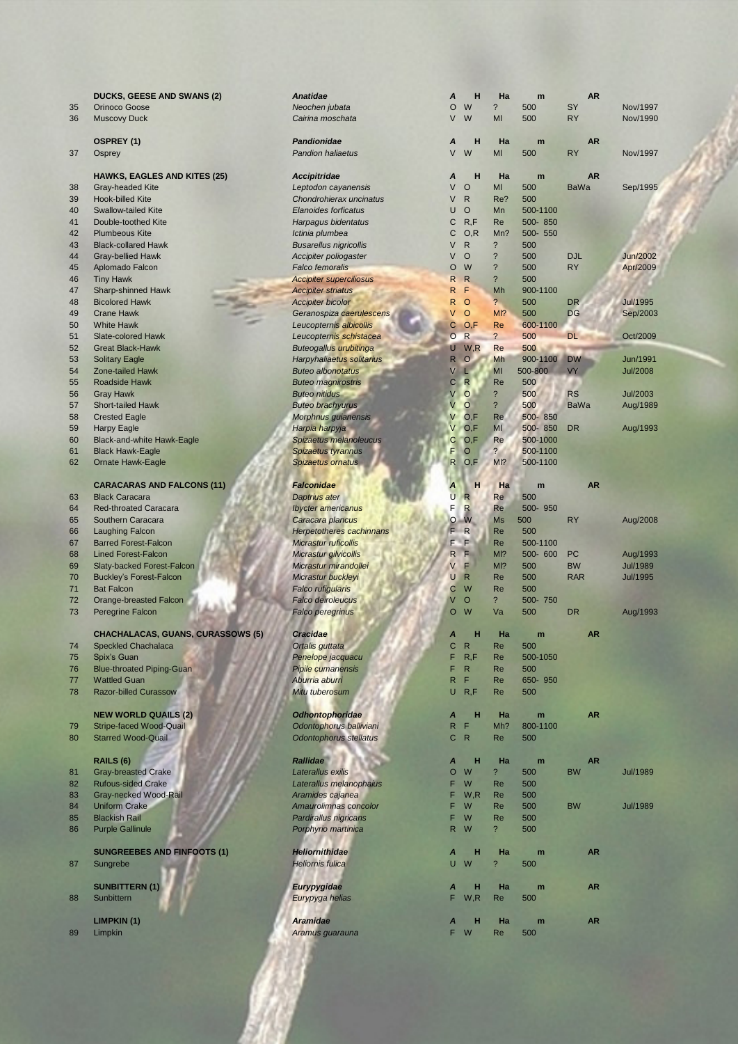|  |  | DUCKS, GEESE AND SWANS |
|--|--|------------------------|
|--|--|------------------------|

### **HAWKS, EAGLES AND KITES (25)** *Accipitrida*

- 38 Gray-headed Kite **Leptodon can be a Victoria**<br>39 Hook-billed Kite **Chondrohie** 39 Hook-billed Kite 40 Swallow-tailed Kite **Elanoides** *Elanoides for Francisco Elanoides for Elanoides for Elanoides for Elanoides for Elanoides for Elanoides for Elanoides for Elanoides for Elanoides for Elanoides for* 41 Double-toothed Kite *Harpagus b* 42 Plumbeous Kite **Ichinia** plum 43 Black-collared Hawk **Busarellus** *Busarellus* 44 Gray-bellied Hawk **Accipiter policy Accipiter** Policy Accipiter Policy Accipiter Policy Accipiter Policy Accipiter Policy Accipiter Policy Accipiter Policy Accipiter Policy Accipiter Policy Accipiter Policy Accipiter Po 45 Aplomado Falcon *Falco femo*<br>46 Tiny Hawk **Accipiter summary Apple 2009** 47 Sharp-shinned Hawk *Accipiter striatus* R F Mh 900-1100 48 Bicolored Hawk **Accipiter bicolored Hawk** 52 Great Black-Hawk **Buteogallus**<br>53 Solitary Eagle **Buteogallus** Harpyhaliae 55 Roadside Hawk **Buteo magnificant Buteo magnificant Control Control Control Control Control Control Control Control Control Control Control Control Control Control Control Control Control Control Control Control Control** 57 Short-tailed Hawk **Buteo brachyurus** Buteo brachyurus V O 200 Buteo brachyurus Buteo brachyurus Buteo brachyurus August 200 Buteo brachyurus Buteo brachyurus August 201 Buteo brachyurus 201 Buteo brachyurus 201 Buteo br 58 Crested Eagle **Morphnus guide Eagle** Morphnus guide Eagle<br>59 Harpy Eagle **Morphora** 60 Black-and-white Hawk-Eagle **Spizaetus metallicus** Spizaetus melanoleucus<br>61 Black Hawk-Eagle **Spizaetus** de Spizaetus d 61 Black Hawk-Eagle 62 Ornate Hawk-Eagle **Spizaetus** of Spizaetus or **CARACARAS AND FALCONS (11) Falconidae** 63 Black Caracara **Daptrius atercial de la Reinhard Brac**ara **Daptrius ate** 64 Red-throated Caracara *Ibycter ame*
- 65 Southern Caracara **Caracara** *Caracara p* 66 Laughing Falcon *Herpetothe* 67 Barred Forest-Falcon *Micrastur ruficollis* F F Re 500-1100 68 Lined Forest-Falcon **Micrastur gilvicollis R F Micrastur gilvicollis** R F Micrastur gilvicollisi R F Micrastur gilvis R F Micrastur gilvis R F Micrastur gilvis R F Micrastur gilvis R F Micrastur gilvis R F Micrastur gil 69 Slaty-backed Forest-Falcon **Micrastur Micrastur n** 70 Buckley's Forest-Falcon **Micrastur buckley** Buckley's Forest-Falcon
- 
- 72 Orange-breasted Falcon *Falco deiroleucus* V O ? 500- 750
- 73 Peregrine Falcon **Falco peregrine Falco** 6

# **CHACHALACAS, GUANS, CURASSOWS (5)** *Cracidae*

- 74 Speckled Chachalaca **Care 500 Chachalaca** Chatalaca **Ortalis gutta**
- 
- 76 Blue-throated Piping-Guan **Pipile Cumanensis Figure 2018** Pipile cuma
- 
- 78 Razor-billed Curassow **Miture 2009** Mitu tuberosum

# **NEW WORLD QUAILS (2)** *Odhontophoridae <b>ARR*

- 79 Stripe-faced Wood-Quail **Odontophorus Ballic Executive Ballic Executive Ballic Ballic Ballic Ballic Ballic Ballic Ballic Ballic Ballic Ballic Ballic Ballic Ballic Ballic Ballic Ballic Ballic Ballic Ballic Ballic Ballic**
- 80 Starred Wood-Quail

- 81 Gray-breasted Crake **Laterallus existed Crake Laterallus existence Laterallus existence Calculate**
- 82 Rufous-sided Crake
- 83 Gray-necked Wood-Rail **Aramides can arabitrative Aramides c**an arabitrative Aramides capanea F W, Re 5000 Amazon Americanea F W Amazon Americanea F M Amazon Americanea F M Amazon Americanea F M Amazon Americanea F M Ama
- 85 Blackish Rail **Pardirallus Pardirallus**
- 86 Purple Gallinule **Porphyrio n**

# **SUNGREEBES AND FINFOOTS (1)** *Heliornithi***ng**

# **SUNBITTERN** (1) **A Hans Eurypygidae**

- 88 Sunbittern **Eurypyga helias** F W,R Re 500
- **LIMPKIN (1)** *Aramidae A* **H Ha m AR**
- 

|          | <b>DUCKS, GEESE AND SWANS (2)</b>                       | <b>Anatidae</b>                                 | Α                       | н                    | Ha                          | m               | <b>AR</b>   |                 |
|----------|---------------------------------------------------------|-------------------------------------------------|-------------------------|----------------------|-----------------------------|-----------------|-------------|-----------------|
| 35       | Orinoco Goose                                           | Neochen jubata                                  | O                       | W                    | $\overline{\phantom{a}}$    | 500             | SY          | Nov/1997        |
| 36       | <b>Muscovy Duck</b>                                     | Cairina moschata                                | V                       | W                    | MI                          | 500             | <b>RY</b>   | Nov/1990        |
|          |                                                         |                                                 |                         |                      |                             |                 |             |                 |
|          | <b>OSPREY (1)</b>                                       | Pandionidae                                     | A                       | н                    | Ha                          | m               | <b>AR</b>   |                 |
| 37       | Osprey                                                  | <b>Pandion haliaetus</b>                        | V                       | W                    | MI                          | 500             | <b>RY</b>   | Nov/1997        |
|          |                                                         |                                                 |                         |                      |                             |                 |             |                 |
|          | <b>HAWKS, EAGLES AND KITES (25)</b>                     | <b>Accipitridae</b>                             | A                       | н                    | Ha                          | m               | <b>AR</b>   |                 |
| 38       | <b>Gray-headed Kite</b>                                 | Leptodon cayanensis                             | V                       | $\circ$              | MI                          | 500             | <b>BaWa</b> | Sep/1995        |
| 39       | <b>Hook-billed Kite</b>                                 | Chondrohierax uncinatus                         | V                       | $\mathsf{R}$         | Re?                         | 500             |             |                 |
| 40       | <b>Swallow-tailed Kite</b>                              | <b>Elanoides forficatus</b>                     | U                       | $\circ$              | Mn                          | 500-1100        |             |                 |
| 41       | Double-toothed Kite<br><b>Plumbeous Kite</b>            | Harpagus bidentatus                             | С                       | R, F                 | Re                          | 500-850         |             |                 |
| 42       | <b>Black-collared Hawk</b>                              | Ictinia plumbea                                 | C<br>V                  | O, R<br>$\mathsf{R}$ | Mn?<br>$\ddot{\phantom{0}}$ | 500- 550<br>500 |             |                 |
| 43<br>44 | <b>Gray-bellied Hawk</b>                                | <b>Busarellus nigricollis</b>                   | V                       | $\circ$              | $\overline{\phantom{0}}$    | 500             | <b>DJL</b>  | <b>Jun/2002</b> |
| 45       | Aplomado Falcon                                         | Accipiter poliogaster<br><b>Falco femoralis</b> | $\circ$                 | W                    | $\overline{\phantom{a}}$    | 500             | <b>RY</b>   | Apr/2009        |
| 46       | <b>Tiny Hawk</b>                                        | <b>Accipiter superciliosus</b>                  | R                       | $\mathsf{R}$         | $\ddot{?}$                  | 500             |             |                 |
| 47       | Sharp-shinned Hawk                                      | <b>Accipiter striatus</b>                       | R                       | F                    | Mh                          | 900-1100        |             |                 |
| 48       | <b>Bicolored Hawk</b>                                   | <b>Accipiter bicolor</b>                        | R                       | $\circ$              | $\overline{?}$              | 500             | <b>DR</b>   | <b>Jul/1995</b> |
| 49       | <b>Crane Hawk</b>                                       | Geranospiza caerulescens                        | V                       | $\circ$              | M <sub>1</sub> ?            | 500             | <b>DG</b>   | Sep/2003        |
| 50       | <b>White Hawk</b>                                       | Leucopternis albicollis                         | $\mathsf{C}$            | O,F                  | Re                          | 600-1100        |             |                 |
| 51       | <b>Slate-colored Hawk</b>                               | Leucopternis schistacea                         | $\circ$                 | $\mathsf{R}$         | $\overline{\mathbf{?}}$     | 500             | <b>DL</b>   | Oct/2009        |
| 52       | <b>Great Black-Hawk</b>                                 | <b>Buteogallus urubitinga</b>                   | U                       | W, R                 | Re                          | 500             |             |                 |
| 53       | <b>Solitary Eagle</b>                                   | Harpyhaliaetus solitarius                       | $\overline{\mathsf{R}}$ | $\circ$              | Mh                          | 900-1100        | <b>DW</b>   | Jun/1991        |
| 54       | Zone-tailed Hawk                                        | <b>Buteo albonotatus</b>                        | V                       | ш                    | MI                          | 500-800         | VY          | <b>Jul/2008</b> |
| 55       | <b>Roadside Hawk</b>                                    | <b>Buteo magnirostris</b>                       | $\mathbf C$             | $\mathsf{R}$         | Re                          | 500             |             |                 |
| 56       | <b>Gray Hawk</b>                                        | <b>Buteo nitidus</b>                            |                         | $\circ$              | $\overline{\phantom{0}}$    | 500             | <b>RS</b>   | <b>Jul/2003</b> |
| 57       | <b>Short-tailed Hawk</b>                                | <b>Buteo brachyurus</b>                         | V                       | $\circ$              | $\overline{\phantom{0}}$    | 500             | <b>BaWa</b> | Aug/1989        |
| 58       | <b>Crested Eagle</b>                                    | Morphnus guianensis                             | V                       | O,F                  | Re                          | 500-850         |             |                 |
| 59       | <b>Harpy Eagle</b>                                      | Harpia harpyja                                  | V                       | O,F                  | MI                          | 500-850         | <b>DR</b>   | Aug/1993        |
| 60       | Black-and-white Hawk-Eagle                              | Spizaetus melanoleucus                          | C                       | O,F                  | Re                          | 500-1000        |             |                 |
| 61       | <b>Black Hawk-Eagle</b>                                 | Spizaetus tyrannus                              | F                       | $\circ$              | $\overline{?}$              | 500-1100        |             |                 |
| 62       | <b>Ornate Hawk-Eagle</b>                                | Spizaetus ornatus                               | R                       | O,F                  | M <sub>1</sub> ?            | 500-1100        |             |                 |
|          |                                                         |                                                 |                         |                      |                             |                 |             |                 |
|          | <b>CARACARAS AND FALCONS (11)</b>                       | <b>Falconidae</b>                               |                         | н                    | Ha                          | m               | <b>AR</b>   |                 |
| 63       | <b>Black Caracara</b>                                   | Daptrius ater                                   | U                       | R                    | Re                          | 500             |             |                 |
| 64       | <b>Red-throated Caracara</b>                            | <b>Ibycter americanus</b>                       | F                       | R                    | Re                          | 500-950         |             |                 |
| 65       | Southern Caracara                                       | Caracara plancus                                | $\circ$                 | W                    | <b>Ms</b>                   | 500             | <b>RY</b>   | Aug/2008        |
| 66       | <b>Laughing Falcon</b>                                  | <b>Herpetotheres cachinnans</b>                 | F                       | $\mathsf{R}$         | Re                          | 500             |             |                 |
| 67       | <b>Barred Forest-Falcon</b>                             | <b>Micrastur ruficollis</b>                     | F                       | F                    | Re                          | 500-1100        |             |                 |
| 68       | <b>Lined Forest-Falcon</b>                              | Micrastur gilvicollis                           | R.                      | F                    | MI?                         | 500-600         | PC          | Aug/1993        |
| 69       | Slaty-backed Forest-Falcon                              | Micrastur mirandollei                           | V                       | F                    | M <sub>1</sub> ?            | 500             | <b>BW</b>   | <b>Jul/1989</b> |
| 70       | <b>Buckley's Forest-Falcon</b>                          | Micrastur buckleyi                              | U                       | $\mathsf{R}$         | Re                          | 500             | <b>RAR</b>  | <b>Jul/1995</b> |
| 71       | <b>Bat Falcon</b>                                       | <b>Falco rufigularis</b>                        | С                       | W                    | Re                          | 500             |             |                 |
| 72       | Orange-breasted Falcon                                  | <b>Falco deiroleucus</b>                        | V                       | $\circ$              | $\overline{\phantom{a}}$    | 500-750         |             |                 |
| 73       | <b>Peregrine Falcon</b>                                 | <b>Falco peregrinus</b>                         | $\circ$                 | W                    | Va                          | 500             | <b>DR</b>   | Aug/1993        |
|          |                                                         |                                                 |                         |                      |                             |                 |             |                 |
|          | <b>CHACHALACAS, GUANS, CURASSOWS (5)</b>                | <b>Cracidae</b>                                 | Α                       | н                    | Ha                          | m               | <b>AR</b>   |                 |
| 74       | <b>Speckled Chachalaca</b>                              | Ortalis guttata                                 | C                       | R                    | Re                          | 500             |             |                 |
| 75       | Spix's Guan                                             | Penelope jacquacu                               | F                       | R, F                 | Re                          | 500-1050        |             |                 |
| 76<br>77 | <b>Blue-throated Piping-Guan</b><br><b>Wattled Guan</b> | Pipile cumanensis<br>Aburria aburri             | F<br>R                  | $\mathsf{R}$<br>F    | Re<br>Re                    | 500<br>650-950  |             |                 |
| 78       | <b>Razor-billed Curassow</b>                            | Mitu tuberosum                                  | U                       | R, F                 | Re                          | 500             |             |                 |
|          |                                                         |                                                 |                         |                      |                             |                 |             |                 |
|          | <b>NEW WORLD QUAILS (2)</b>                             | <b>Odhontophoridae</b>                          | A                       | н                    | Ha                          | m               | <b>AR</b>   |                 |
| 79       | Stripe-faced Wood-Quail                                 | Odontophorus balliviani                         | $\mathsf{R}$            | F                    | Mh?                         | 800-1100        |             |                 |
| 80       | <b>Starred Wood-Quail</b>                               | Odontophorus stellatus                          | $\mathsf{C}$            | $\mathsf{R}$         | Re                          | 500             |             |                 |
|          |                                                         |                                                 |                         |                      |                             |                 |             |                 |
|          | RAILS (6)                                               | <b>Rallidae</b>                                 | A                       | н                    | Ha                          | m               | <b>AR</b>   |                 |
| 81       | <b>Gray-breasted Crake</b>                              | Laterallus exilis                               | O                       | W                    | $\overline{\mathcal{E}}$    | 500             | <b>BW</b>   | <b>Jul/1989</b> |
| 82       | <b>Rufous-sided Crake</b>                               | Laterallus melanophaius                         | F                       | W                    | Re                          | 500             |             |                 |
| 83       | Gray-necked Wood-Rail                                   | Aramides cajanea                                | F                       | W, R                 | Re                          | 500             |             |                 |
| 84       | Uniform Crake                                           | Amaurolimnas concolor                           | F                       | W                    | Re                          | 500             | <b>BW</b>   | <b>Jul/1989</b> |
| 85       | <b>Blackish Rail</b>                                    | Pardirallus nigricans                           | F                       | W                    | Re                          | 500             |             |                 |
| 86       | <b>Purple Gallinule</b>                                 | Porphyrio martinica                             | $\mathsf{R}$            | W                    | $\overline{?}$              | 500             |             |                 |
|          |                                                         |                                                 |                         |                      |                             |                 |             |                 |
|          | <b>SUNGREEBES AND FINFOOTS (1)</b>                      | <b>Heliornithidae</b>                           | A                       | н                    | Ha                          | m               | <b>AR</b>   |                 |
| 87       | Sungrebe                                                | <b>Heliornis fulica</b>                         |                         | U W                  | $\overline{\phantom{a}}$    | 500             |             |                 |
|          |                                                         |                                                 |                         |                      |                             |                 |             |                 |
|          |                                                         |                                                 |                         |                      |                             |                 |             |                 |

89 Limpkin *Aramus guarauna* F W Re 500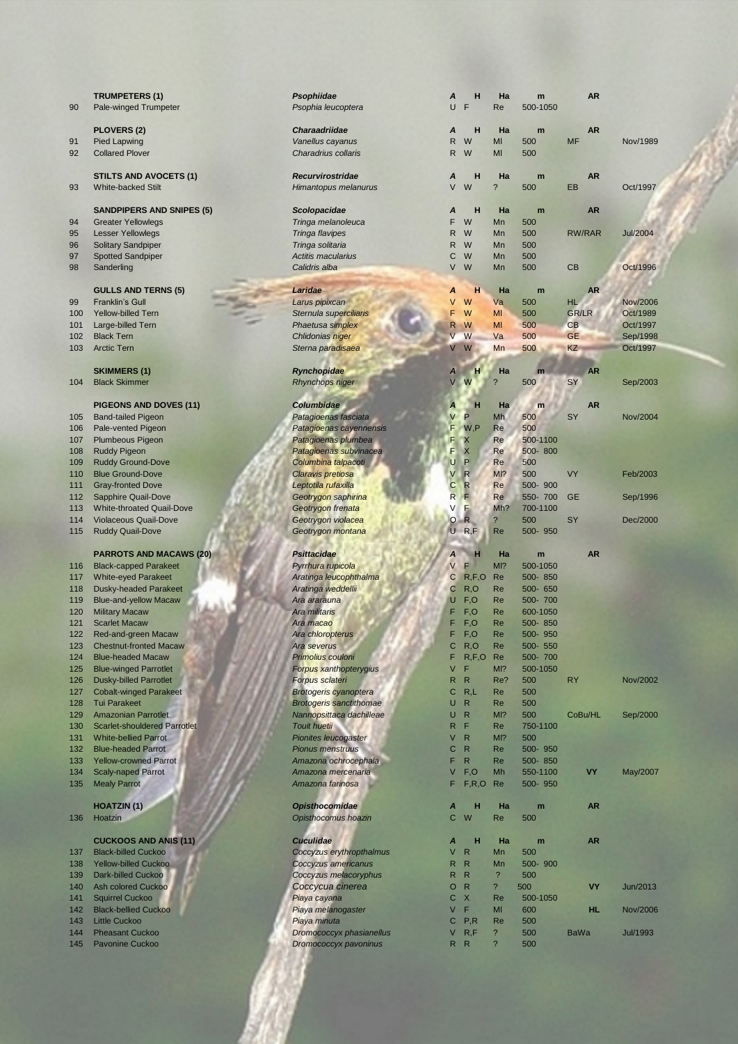| 90         | <b>TRUMPETERS (1)</b><br>Pale-winged Trumpeter           | Psophiidae<br>Psophia leucoptera                   | A<br>U       | н<br>F            | Ha<br>Re                       | m<br>500-1050       | <b>AR</b>                 |                      |
|------------|----------------------------------------------------------|----------------------------------------------------|--------------|-------------------|--------------------------------|---------------------|---------------------------|----------------------|
|            | <b>PLOVERS (2)</b>                                       | <b>Charaadriidae</b>                               | A            | н                 | Ha                             | m                   | <b>AR</b>                 |                      |
| 91         | <b>Pied Lapwing</b>                                      | Vanellus cayanus                                   | $\mathsf{R}$ | W                 | MI                             | 500                 | <b>MF</b>                 | Nov/1989             |
| 92         | <b>Collared Plover</b>                                   | Charadrius collaris                                | R            | W                 | MI                             | 500                 |                           |                      |
|            |                                                          |                                                    |              |                   |                                |                     |                           |                      |
|            | <b>STILTS AND AVOCETS (1)</b>                            | <b>Recurvirostridae</b>                            | A            | н                 | Ha                             | m                   | <b>AR</b>                 |                      |
| 93         | <b>White-backed Stilt</b>                                | Himantopus melanurus                               | V            | W                 | $\ddot{?}$                     | 500                 | EB                        | Oct/1997             |
|            |                                                          |                                                    |              |                   |                                |                     |                           |                      |
|            | <b>SANDPIPERS AND SNIPES (5)</b>                         | Scolopacidae<br>Tringa melanoleuca                 | A<br>F       | н<br>W            | Ha<br>Mn                       | m<br>500            | <b>AR</b>                 |                      |
| 94<br>95   | <b>Greater Yellowlegs</b><br><b>Lesser Yellowlegs</b>    | Tringa flavipes                                    | R            | W                 | Mn                             | 500                 | RW/RAR                    | <b>Jul/2004</b>      |
| 96         | Solitary Sandpiper                                       | Tringa solitaria                                   | R            | W                 | Mn                             | 500                 |                           |                      |
| 97         | <b>Spotted Sandpiper</b>                                 | Actitis macularius                                 | C            | W                 | Mn                             | 500                 |                           |                      |
| 98         | Sanderling                                               | Calidris alba                                      | V            | W                 | Mn                             | 500                 | CB                        | Oct/1996             |
|            |                                                          |                                                    |              |                   |                                |                     |                           |                      |
|            | <b>GULLS AND TERNS (5)</b>                               | Laridae                                            | A            | н                 | Ha                             | m                   | <b>AR</b>                 |                      |
| 99         | <b>Franklin's Gull</b>                                   | Larus pipixcan                                     | V            | W                 | Va                             | 500                 | <b>HL</b>                 | <b>Nov/2006</b>      |
| 100<br>101 | <b>Yellow-billed Tern</b><br>Large-billed Tern           | Sternula superciliaris<br>Phaetusa simplex         | F<br>R       | W<br>W            | MI<br>MI                       | 500<br>500          | <b>GR/LR</b><br><b>CB</b> | Oct/1989<br>Oct/1997 |
| 102        | <b>Black Tern</b>                                        | Chlidonias niger                                   |              | W                 | Va                             | 500                 | <b>GE</b>                 | Sep/1998             |
| 103        | <b>Arctic Tern</b>                                       | Sterna paradisaea                                  | V            | W                 | Mn                             | 500                 | KZ                        | Oct/1997             |
|            |                                                          |                                                    |              |                   |                                |                     |                           |                      |
|            | <b>SKIMMERS (1)</b>                                      | Rynchopidae                                        | A            | н                 | Ha                             | m                   | <b>AR</b>                 |                      |
| 104        | <b>Black Skimmer</b>                                     | <b>Rhynchops niger</b>                             | $\vee$       | W                 | $\overline{?}$                 | 500                 | SY                        | Sep/2003             |
|            |                                                          |                                                    |              |                   |                                |                     |                           |                      |
|            | <b>PIGEONS AND DOVES (11)</b>                            | Columbidae                                         | A            | н                 | Ha                             | m                   | <b>AR</b>                 |                      |
| 105        | <b>Band-tailed Pigeon</b>                                | Patagioenas fasciata                               | V<br>F       | P<br>W.P          | Mh<br>Re                       | 500<br>500          | <b>SY</b>                 | Nov/2004             |
| 106<br>107 | Pale-vented Pigeon<br><b>Plumbeous Pigeon</b>            | Patagioenas cayennensis<br>Patagioenas plumbea     | F            | X                 | Re                             | 500-1100            |                           |                      |
| 108        | <b>Ruddy Pigeon</b>                                      | Patagioenas subvinacea                             | F            | X                 | Re                             | 500-800             |                           |                      |
| 109        | <b>Ruddy Ground-Dove</b>                                 | Columbina talpacoti                                | Ü            | P                 | Re                             | 500                 |                           |                      |
| 110        | <b>Blue Ground-Dove</b>                                  | Claravis pretiosa                                  | V            | $\mathsf{R}$      | M12                            | 500                 | <b>VY</b>                 | Feb/2003             |
| 111        | <b>Gray-fronted Dove</b>                                 | Leptotila rufaxilla                                | C            | $\mathsf{R}$      | Re                             | 500-900             |                           |                      |
| 112        | Sapphire Quail-Dove                                      | Geotrygon saphirina                                | R            | Е                 | Re                             | 550-700             | <b>GE</b>                 | Sep/1996             |
| 113        | <b>White-throated Quail-Dove</b>                         | Geotrygon frenata                                  | V            | E                 | Mh?                            | 700-1100            |                           |                      |
| 114        | <b>Violaceous Quail-Dove</b>                             | Geotrygon violacea                                 | $\circ$      | R                 | $\overline{\phantom{a}}$       | 500                 | <b>SY</b>                 | Dec/2000             |
| 115        | <b>Ruddy Quail-Dove</b>                                  | Geotrygon montana                                  |              | $U$ R,F           | Re                             | 500-950             |                           |                      |
|            | <b>PARROTS AND MACAWS (20)</b>                           | <b>Psittacidae</b>                                 | Α            | н                 | Ha                             | m                   | <b>AR</b>                 |                      |
| 116        | <b>Black-capped Parakeet</b>                             | Pyrrhura rupicola                                  | V            | F                 | MI <sup>2</sup>                | 500-1050            |                           |                      |
| 117        | <b>White-eyed Parakeet</b>                               | Aratinga leucophthalma                             | C            | R, F, O           | Re                             | 500-850             |                           |                      |
| 118        | <b>Dusky-headed Parakeet</b>                             | Aratinga weddellii                                 | $\mathbf C$  | R, O              | Re                             | 500-650             |                           |                      |
| 119        | <b>Blue-and-yellow Macaw</b>                             | Ara ararauna                                       | U            | F, O              | Re                             | 500-700             |                           |                      |
| 120        | <b>Military Macaw</b>                                    | Ara militaris                                      | F            | F,O               | Re                             | 600-1050            |                           |                      |
| 121        | <b>Scarlet Macaw</b>                                     | Ara macao                                          | F            | F,O               | Re                             | 500-850             |                           |                      |
| 122        | Red-and-green Macaw                                      | Ara chloropterus                                   | F            | F, O              | Re                             | 500-950             |                           |                      |
| 123        | <b>Chestnut-fronted Macaw</b>                            | Ara severus                                        | C.<br>F      | R, O              | Re                             | 500- 550            |                           |                      |
| 124<br>125 | <b>Blue-headed Macaw</b><br><b>Blue-winged Parrotlet</b> | Primolius couloni<br><b>Forpus xanthopterygius</b> | V            | R, F, O<br>F      | Re<br>MI?                      | 500-700<br>500-1050 |                           |                      |
| 126        | <b>Dusky-billed Parrotlet</b>                            | <b>Forpus sclateri</b>                             | $\mathsf{R}$ | $\mathsf{R}$      | Re?                            | 500                 | <b>RY</b>                 | Nov/2002             |
| 127        | <b>Cobalt-winged Parakeet</b>                            | <b>Brotogeris cyanoptera</b>                       | C            | R,L               | Re                             | 500                 |                           |                      |
| 128        | <b>Tui Parakeet</b>                                      | <b>Brotogeris sanctithomae</b>                     | U            | $\mathsf{R}$      | Re                             | 500                 |                           |                      |
| 129        | <b>Amazonian Parrotlet</b>                               | Nannopsittaca dachilleae                           | U            | $\mathsf{R}$      | MI <sup>2</sup>                | 500                 | CoBu/HL                   | Sep/2000             |
| 130        | <b>Scarlet-shouldered Parrotlet</b>                      | Touit huetii                                       | R            | F                 | Re                             | 750-1100            |                           |                      |
| 131        | <b>White-bellied Parrot</b>                              | <b>Pionites leucogaster</b>                        | V            | $\mathsf{R}$      | MI?                            | 500                 |                           |                      |
| 132        | <b>Blue-headed Parrot</b>                                | <b>Pionus menstruus</b>                            | C            | $\mathsf{R}$      | Re                             | 500-950             |                           |                      |
| 133        | <b>Yellow-crowned Parrot</b>                             | Amazona ochrocephala                               | F            | $\mathsf{R}$      | Re                             | 500-850             |                           |                      |
| 134<br>135 | <b>Scaly-naped Parrot</b><br><b>Mealy Parrot</b>         | Amazona mercenaria<br>Amazona farinosa             | V<br>F       | F, O<br>F, R, O   | Mh<br>Re                       | 550-1100<br>500-950 | VY                        | May/2007             |
|            |                                                          |                                                    |              |                   |                                |                     |                           |                      |
|            | <b>HOATZIN (1)</b>                                       | <b>Opisthocomidae</b>                              | A            | н                 | Ha                             | m                   | <b>AR</b>                 |                      |
| 136        | Hoatzin                                                  | Opisthocomus hoazin                                | $\mathsf{C}$ | W                 | Re                             | 500                 |                           |                      |
|            |                                                          |                                                    |              |                   |                                |                     |                           |                      |
|            | <b>CUCKOOS AND ANIS (11)</b>                             | <b>Cuculidae</b>                                   | A            | н                 | Ha                             | m                   | <b>AR</b>                 |                      |
| 137        | <b>Black-billed Cuckoo</b>                               | Coccyzus erythropthalmus                           | V            | $\mathsf{R}$      | Mn                             | 500                 |                           |                      |
| 138        | <b>Yellow-billed Cuckoo</b>                              | Coccyzus americanus                                | R            | R<br>$\mathsf{R}$ | Mn<br>$\overline{\mathcal{E}}$ | 500-900             |                           |                      |
| 139<br>140 | <b>Dark-billed Cuckoo</b><br><b>Ash colored Cuckoo</b>   | Coccyzus melacoryphus<br>Coccycua cinerea          | R<br>O       | $\mathsf{R}$      | $\overline{\mathcal{E}}$       | 500<br>500          | <b>VY</b>                 | Jun/2013             |
| 141        | <b>Squirrel Cuckoo</b>                                   | Piaya cayana                                       | C            | $\mathsf{X}$      | Re                             | 500-1050            |                           |                      |
| 142        | <b>Black-bellied Cuckoo</b>                              | Piaya melanogaster                                 | V            | F                 | MI                             | 600                 | <b>HL</b>                 | Nov/2006             |
| 143        | <b>Little Cuckoo</b>                                     | Piaya minuta                                       | С            | P, R              | Re                             | 500                 |                           |                      |
| 144        | <b>Pheasant Cuckoo</b>                                   | <b>Dromococcyx phasianellus</b>                    | V            | R, F              | $\overline{\mathcal{E}}$       | 500                 | <b>BaWa</b>               | <b>Jul/1993</b>      |
| 145        | <b>Pavonine Cuckoo</b>                                   | Dromococcyx pavoninus                              |              | R R               | ?                              | 500                 |                           |                      |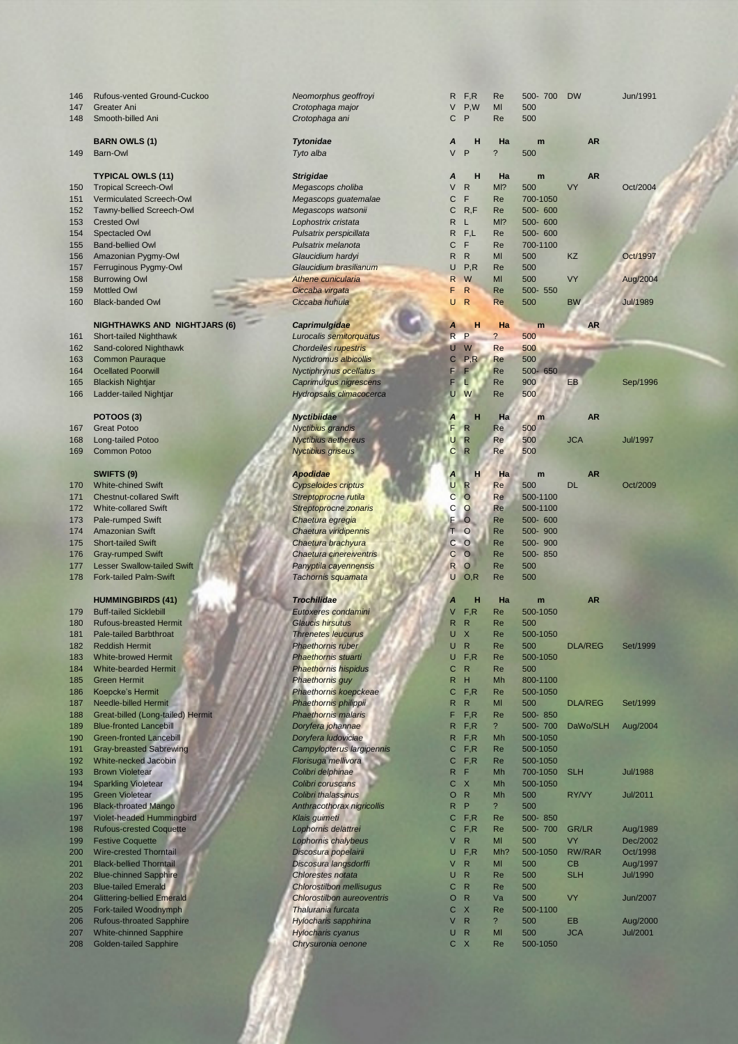| 146        | Rufous-vented Ground-Cuckoo                                      | Neomorphus geoffroyi                             | R              | F, R                         | Re                       | 500-700              | <b>DW</b>           | Jun/1991                    |
|------------|------------------------------------------------------------------|--------------------------------------------------|----------------|------------------------------|--------------------------|----------------------|---------------------|-----------------------------|
| 147        | <b>Greater Ani</b>                                               | Crotophaga major                                 | V              | P,W                          | MI                       | 500                  |                     |                             |
| 148        | Smooth-billed Ani                                                | Crotophaga ani                                   | C              | P                            | Re                       | 500                  |                     |                             |
|            | <b>BARN OWLS (1)</b>                                             | <b>Tytonidae</b>                                 | A              | н                            | Ha                       | m                    | <b>AR</b>           |                             |
| 149        | Barn-Owl                                                         | Tyto alba                                        | V              | P                            | $\overline{\phantom{0}}$ | 500                  |                     |                             |
|            |                                                                  |                                                  |                |                              |                          |                      |                     |                             |
|            | <b>TYPICAL OWLS (11)</b>                                         | <b>Strigidae</b>                                 | Α              | н                            | Ha                       | m                    | <b>AR</b>           |                             |
| 150        | <b>Tropical Screech-Owl</b>                                      | Megascops choliba                                | V              | $\mathsf{R}$                 | MI?                      | 500                  | VY                  | Oct/2004                    |
| 151        | Vermiculated Screech-Owl                                         | Megascops guatemalae                             | C              | F                            | Re                       | 700-1050             |                     |                             |
| 152        | Tawny-bellied Screech-Owl                                        | Megascops watsonii                               | С              | R, F                         | Re<br>MI?                | 500- 600             |                     |                             |
| 153<br>154 | <b>Crested Owl</b><br>Spectacled Owl                             | Lophostrix cristata<br>Pulsatrix perspicillata   | R<br>R         | L<br>F,L                     | Re                       | 500-600<br>500-600   |                     |                             |
| 155        | <b>Band-bellied Owl</b>                                          | Pulsatrix melanota                               | С              | $\mathsf F$                  | Re                       | 700-1100             |                     |                             |
| 156        | Amazonian Pygmy-Owl                                              | Glaucidium hardyi                                | R              | $\mathsf{R}$                 | MI                       | 500                  | KZ                  | Oct/1997                    |
| 157        | Ferruginous Pygmy-Owl                                            | Glaucidium brasilianum                           | U              | P, R                         | Re                       | 500                  |                     |                             |
| 158        | <b>Burrowing Owl</b>                                             | Athene cunicularia                               | R              | W                            | MI                       | 500                  | <b>VY</b>           | Aug/2004                    |
| 159        | <b>Mottled Owl</b>                                               | Ciccaba virgata                                  | F              | $\mathsf{R}$                 | Re                       | 500- 550             |                     |                             |
| 160        | <b>Black-banded Owl</b>                                          | Ciccaba huhula                                   | U              | $\mathsf{R}$                 | Re                       | 500                  | <b>BW</b>           | <b>Jul/1989</b>             |
|            | <b>NIGHTHAWKS AND NIGHTJARS (6)</b>                              | Caprimulgidae                                    | A              | н                            | Ha                       |                      | <b>AR</b>           |                             |
| 161        | <b>Short-tailed Nighthawk</b>                                    | Lurocalis semitorquatus                          | R              | P                            | $\overline{\mathbf{?}}$  | m<br>500             |                     |                             |
| 162        | Sand-colored Nighthawk                                           | <b>Chordeiles rupestris</b>                      | U              | W                            | Re                       | 500                  |                     |                             |
| 163        | <b>Common Pauraque</b>                                           | <b>Nyctidromus albicollis</b>                    | C              | P, R                         | Re                       | 500                  |                     |                             |
| 164        | <b>Ocellated Poorwill</b>                                        | Nyctiphrynus ocellatus                           | F              | $\bullet$                    | Re                       | 500-650              |                     |                             |
| 165        | <b>Blackish Nightjar</b>                                         | Caprimulgus nigrescens                           | F              | u                            | Re                       | 900                  | EB                  | Sep/1996                    |
| 166        | Ladder-tailed Nightjar                                           | <b>Hydropsalis climacocerca</b>                  | U              | W                            | Re                       | 500                  |                     |                             |
|            |                                                                  |                                                  |                |                              |                          |                      |                     |                             |
|            | <b>POTOOS (3)</b>                                                | <b>Nyctibiidae</b>                               | Α<br>F         | н                            | Ha                       | m                    | <b>AR</b>           |                             |
| 167        | <b>Great Potoo</b><br>Long-tailed Potoo                          | Nyctibius grandis                                | U              | $\mathsf{R}$<br>$\mathsf{R}$ | Re<br>Re                 | 500<br>500           | <b>JCA</b>          | <b>Jul/1997</b>             |
| 168<br>169 | <b>Common Potoo</b>                                              | Nyctibius aethereus<br>Nyctibius griseus         | $\mathbf C$    | $\mathsf{R}$                 | Re                       | 500                  |                     |                             |
|            |                                                                  |                                                  |                |                              |                          |                      |                     |                             |
|            | SWIFTS (9)                                                       | <b>Apodidae</b>                                  | Α              | н                            | Ha                       | m                    | <b>AR</b>           |                             |
| 170        | <b>White-chined Swift</b>                                        | <b>Cypseloides criptus</b>                       | U              | $\mathbb{R}$                 | Re                       | 500                  | <b>DL</b>           | Oct/2009                    |
| 171        | <b>Chestnut-collared Swift</b>                                   | Streptoprocne rutila                             | $\overline{C}$ | $\circ$                      | Re                       | 500-1100             |                     |                             |
| 172        | <b>White-collared Swift</b>                                      | Streptoprocne zonaris                            | С              | $\circ$                      | Re                       | 500-1100             |                     |                             |
| 173        | Pale-rumped Swift                                                | Chaetura egregia                                 | F              | $\circ$                      | Re                       | 500- 600             |                     |                             |
| 174<br>175 | <b>Amazonian Swift</b><br><b>Short-tailed Swift</b>              | Chaetura viridipennis<br>Chaetura brachyura      |                | T O<br>$C$ O                 | Re<br>Re                 | 500-900<br>500-900   |                     |                             |
| 176        | <b>Gray-rumped Swift</b>                                         | Chaetura cinereiventris                          | C              | $\circ$                      | Re                       | 500-850              |                     |                             |
| 177        | <b>Lesser Swallow-tailed Swift</b>                               | Panyptila cayennensis                            | R              | $\circ$                      | Re                       | 500                  |                     |                             |
| 178        | <b>Fork-tailed Palm-Swift</b>                                    | Tachornis squamata                               | U              | O, R                         | Re                       | 500                  |                     |                             |
|            |                                                                  |                                                  |                |                              |                          |                      |                     |                             |
|            | <b>HUMMINGBIRDS (41)</b>                                         | <b>Trochilidae</b>                               |                | н                            | Ha                       | m                    | <b>AR</b>           |                             |
| 179        | <b>Buff-tailed Sicklebill</b>                                    | Eutoxeres condamini                              | V              | F, R                         | Re                       | 500-1050             |                     |                             |
| 180        | <b>Rufous-breasted Hermit</b>                                    | <b>Glaucis hirsutus</b>                          | R              | $\mathsf{R}$                 | Re                       | 500                  |                     |                             |
| 181        | <b>Pale-tailed Barbthroat</b><br><b>Reddish Hermit</b>           | <b>Threnetes leucurus</b>                        | U<br>U         | $\times$<br>$\mathsf{R}$     | Re                       | 500-1050             | <b>DLA/REG</b>      |                             |
| 182<br>183 | <b>White-browed Hermit</b>                                       | <b>Phaethornis ruber</b><br>Phaethornis stuarti  | U              | F, R                         | Re<br>Re                 | 500<br>500-1050      |                     | <b>26I\.1AAA</b>            |
| 184        | <b>White-bearded Hermit</b>                                      | <b>Phaethornis hispidus</b>                      | C              | ${\sf R}$                    | Re                       | 500                  |                     |                             |
| 185        | <b>Green Hermit</b>                                              | Phaethornis guy                                  | R              | H                            | Mh                       | 800-1100             |                     |                             |
| 186        | Koepcke's Hermit                                                 | Phaethornis koepckeae                            | С              | F, R                         | Re                       | 500-1050             |                     |                             |
| 187        | Needle-billed Hermit                                             | Phaethornis philippii                            | $\mathsf{R}$   | $\mathsf{R}$                 | MI                       | 500                  | <b>DLA/REG</b>      | Set/1999                    |
| 188        | Great-billed (Long-tailed) Hermit                                | Phaethornis malaris                              | F              | F, R                         | Re                       | 500-850              |                     |                             |
| 189        | <b>Blue-fronted Lancebill</b>                                    | Doryfera johannae                                | R              | F, R                         | $\overline{\phantom{0}}$ | 500-700              | DaWo/SLH            | Aug/2004                    |
| 190        | <b>Green-fronted Lancebill</b><br><b>Gray-breasted Sabrewing</b> | Doryfera Iudoviciae                              | R              | F, R<br>F, R                 | Mh                       | 500-1050             |                     |                             |
| 191<br>192 | White-necked Jacobin                                             | Campylopterus largipennis<br>Florisuga mellivora | С<br>C         | F, R                         | Re<br>Re                 | 500-1050<br>500-1050 |                     |                             |
| 193        | <b>Brown Violetear</b>                                           | Colibri delphinae                                | $\mathsf{R}$   | F                            | Mh                       | 700-1050             | <b>SLH</b>          | <b>Jul/1988</b>             |
| 194        | <b>Sparkling Violetear</b>                                       | Colibri coruscans                                | C              | $\mathsf{X}$                 | Mh                       | 500-1050             |                     |                             |
| 195        | <b>Green Violetear</b>                                           | Colibri thalassinus                              | O              | $\mathsf{R}$                 | Mh                       | 500                  | RY/VY               | Jul/2011                    |
| 196        | <b>Black-throated Mango</b>                                      | Anthracothorax nigricollis                       | R              | P                            | $\overline{\mathcal{E}}$ | 500                  |                     |                             |
| 197        | Violet-headed Hummingbird                                        | Klais guimeti                                    | С              | F, R                         | Re                       | 500-850              |                     |                             |
| 198        | <b>Rufous-crested Coquette</b>                                   | Lophornis delattrei                              | С              | F, R                         | Re                       | 500-700              | <b>GR/LR</b>        | Aug/1989                    |
| 199        | <b>Festive Coquette</b>                                          | Lophornis chalybeus                              | V              | $\mathsf{R}$                 | MI                       | 500                  | <b>VY</b>           | Dec/2002                    |
| 200<br>201 | <b>Wire-crested Thorntail</b><br><b>Black-bellied Thorntail</b>  | Discosura popelairii                             | U<br>V         | F, R<br>$\mathsf{R}$         | Mh?<br>MI                | 500-1050<br>500      | <b>RW/RAR</b><br>CB | Oct/1998                    |
| 202        | <b>Blue-chinned Sapphire</b>                                     | Discosura langsdorffi<br>Chlorestes notata       | U              | $\mathsf{R}$                 | Re                       | 500                  | <b>SLH</b>          | Aug/1997<br><b>Jul/1990</b> |
| 203        | <b>Blue-tailed Emerald</b>                                       | <b>Chlorostilbon mellisugus</b>                  | C              | $\mathsf{R}$                 | Re                       | 500                  |                     |                             |
| 204        | <b>Glittering-bellied Emerald</b>                                | <b>Chlorostilbon aureoventris</b>                | $\circ$        | $\mathsf{R}$                 | Va                       | 500                  | <b>VY</b>           | Jun/2007                    |
| 205        | Fork-tailed Woodnymph                                            | Thalurania furcata                               | $\mathsf{C}$   | $\mathsf{X}$                 | Re                       | 500-1100             |                     |                             |
| 206        | <b>Rufous-throated Sapphire</b>                                  | <b>Hylocharis sapphirina</b>                     | V              | $\mathsf{R}$                 | $\overline{\mathcal{E}}$ | 500                  | EB                  | Aug/2000                    |
| 207        | <b>White-chinned Sapphire</b>                                    | <b>Hylocharis cyanus</b>                         | U              | R                            | MI                       | 500                  | <b>JCA</b>          | <b>Jul/2001</b>             |
| 208        | <b>Golden-tailed Sapphire</b>                                    | Chrysuronia oenone                               |                | C X                          | Re                       | 500-1050             |                     |                             |
|            |                                                                  |                                                  |                |                              |                          |                      |                     |                             |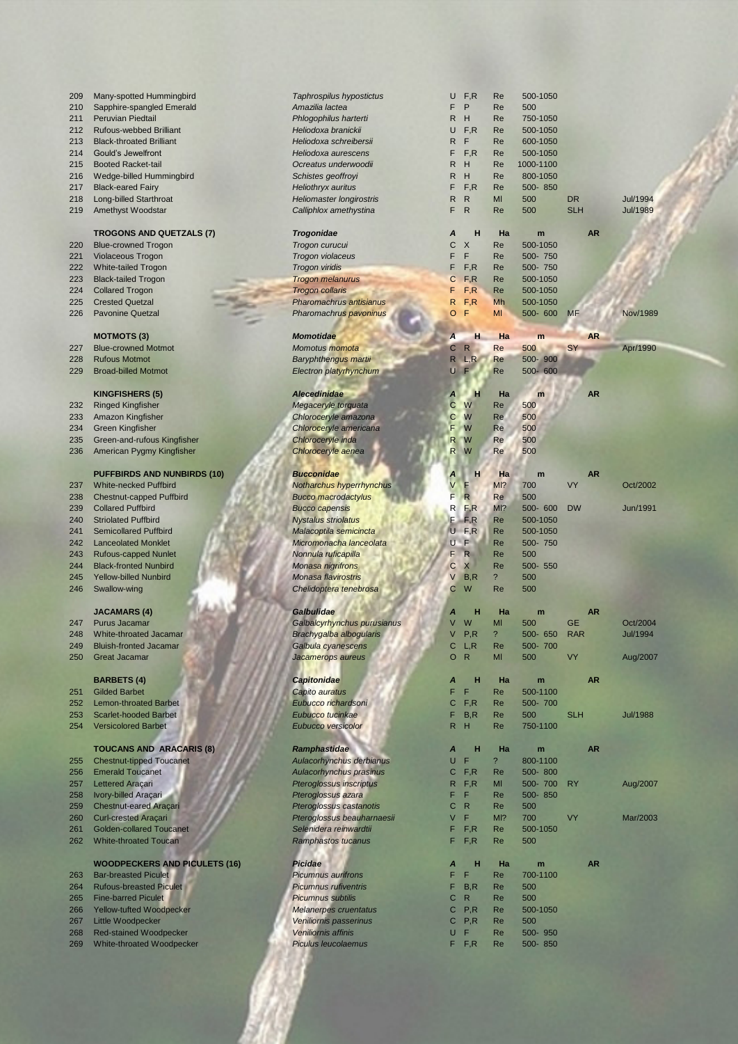| 209 | Many-spotted Hummingbird             | Taphrospilus hypostictus        | U            | F, R                    | Re                       | 500-1050  |            |           |                 |
|-----|--------------------------------------|---------------------------------|--------------|-------------------------|--------------------------|-----------|------------|-----------|-----------------|
| 210 | Sapphire-spangled Emerald            | Amazilia lactea                 | F.           | $\mathsf{P}$            | Re                       | 500       |            |           |                 |
| 211 | Peruvian Piedtail                    | Phlogophilus harterti           | R.           | H                       | Re                       | 750-1050  |            |           |                 |
| 212 | Rufous-webbed Brilliant              | Heliodoxa branickii             | U            | F, R                    | Re                       | 500-1050  |            |           |                 |
| 213 | <b>Black-throated Brilliant</b>      | Heliodoxa schreibersii          | R.           | - F                     | Re                       | 600-1050  |            |           |                 |
| 214 | Gould's Jewelfront                   | Heliodoxa aurescens             | F            | F, R                    | Re                       | 500-1050  |            |           |                 |
| 215 | <b>Booted Racket-tail</b>            | Ocreatus underwoodii            | R.           | H                       | Re                       | 1000-1100 |            |           |                 |
| 216 | Wedge-billed Hummingbird             | Schistes geoffroyi              | R            | H                       | Re                       | 800-1050  |            |           |                 |
| 217 | <b>Black-eared Fairy</b>             | <b>Heliothryx auritus</b>       | F            | F, R                    | Re                       | 500-850   |            |           |                 |
| 218 | <b>Long-billed Starthroat</b>        | <b>Heliomaster longirostris</b> | R            | $\mathsf{R}$            | MI                       | 500       | <b>DR</b>  |           | <b>Jul/1994</b> |
| 219 | Amethyst Woodstar                    | Calliphlox amethystina          | F            | $\mathsf{R}$            | Re                       | 500       | <b>SLH</b> |           | <b>Jul/1989</b> |
|     |                                      |                                 |              |                         |                          |           |            |           |                 |
|     | <b>TROGONS AND QUETZALS (7)</b>      | <b>Trogonidae</b>               | Α            | н                       | Ha                       | m         |            | <b>AR</b> |                 |
| 220 | <b>Blue-crowned Trogon</b>           | Trogon curucui                  | С            | $\times$                | Re                       | 500-1050  |            |           |                 |
|     |                                      |                                 |              | F                       |                          |           |            |           |                 |
| 221 | Violaceous Trogon                    | Trogon violaceus                | F            |                         | Re                       | 500-750   |            |           |                 |
| 222 | White-tailed Trogon                  | <b>Trogon viridis</b>           | F            | F, R                    | Re                       | 500-750   |            |           |                 |
| 223 | <b>Black-tailed Trogon</b>           | <b>Trogon melanurus</b>         | С            | F, R                    | Re                       | 500-1050  |            |           |                 |
| 224 | <b>Collared Trogon</b>               | <b>Trogon collaris</b>          | F            | F, R                    | Re                       | 500-1050  |            |           |                 |
| 225 | <b>Crested Quetzal</b>               | Pharomachrus antisianus         | R            | F, R                    | Mh                       | 500-1050  |            |           |                 |
| 226 | <b>Pavonine Quetzal</b>              | Pharomachrus pavoninus          | O            | F                       | MI                       | 500- 600  | <b>MF</b>  |           | Nov/1989        |
|     |                                      |                                 |              |                         |                          |           |            |           |                 |
|     | <b>MOTMOTS (3)</b>                   | <b>Momotidae</b>                | Α            | н                       | Ha                       | m         |            | <b>AR</b> |                 |
| 227 | <b>Blue-crowned Motmot</b>           | Momotus momota                  | C            | $\mathsf{R}$            | Re                       | 500       | SY         |           | Apr/1990        |
| 228 | <b>Rufous Motmot</b>                 | Baryphthengus martii            | $\mathsf{R}$ | L, R                    | Re                       | 500-900   |            |           |                 |
| 229 | <b>Broad-billed Motmot</b>           | Electron platyrhynchum          | U            | $\blacksquare$          | Re                       | 500-600   |            |           |                 |
|     |                                      |                                 |              |                         |                          |           |            |           |                 |
|     | <b>KINGFISHERS (5)</b>               | <b>Alecedinidae</b>             | A            | н                       | Ha                       | m         |            | <b>AR</b> |                 |
| 232 | <b>Ringed Kingfisher</b>             | Megaceryle torquata             | С            | W                       | Re                       | 500       |            |           |                 |
| 233 | <b>Amazon Kingfisher</b>             | Chloroceryle amazona            | С            | W                       | Re                       | 500       |            |           |                 |
| 234 | <b>Green Kingfisher</b>              | Chloroceryle americana          | F            | W                       | Re                       | 500       |            |           |                 |
| 235 | Green-and-rufous Kingfisher          | Chloroceryle inda               | R.           | W                       | Re                       | 500       |            |           |                 |
| 236 | American Pygmy Kingfisher            | Chloroceryle aenea              | $\mathsf{R}$ | W                       | Re                       | 500       |            |           |                 |
|     |                                      |                                 |              |                         |                          |           |            |           |                 |
|     | <b>PUFFBIRDS AND NUNBIRDS (10)</b>   | <b>Bucconidae</b>               |              | н                       | Ha                       | m         |            | <b>AR</b> |                 |
| 237 | <b>White-necked Puffbird</b>         | Notharchus hyperrhynchus        | ٧            | F                       | M <sub>1</sub> ?         | 700       | VY         |           | Oct/2002        |
| 238 | Chestnut-capped Puffbird             | <b>Bucco macrodactylus</b>      | F            | $\overline{\mathsf{R}}$ | Re                       | 500       |            |           |                 |
| 239 | <b>Collared Puffbird</b>             | <b>Bucco capensis</b>           | R            | F, R                    | MI?                      | 500-600   | <b>DW</b>  |           | Jun/1991        |
| 240 | <b>Striolated Puffbird</b>           | <b>Nystalus striolatus</b>      |              | $F$ $F$ , $R$           | <b>Re</b>                | 500-1050  |            |           |                 |
|     | <b>Semicollared Puffbird</b>         | Malacoptila semicincta          |              | $U$ F,R                 | Re                       | 500-1050  |            |           |                 |
| 241 |                                      |                                 |              |                         |                          |           |            |           |                 |
| 242 | <b>Lanceolated Monklet</b>           | Micromonacha lanceolata         |              | U F                     | Re                       | 500-750   |            |           |                 |
| 243 | <b>Rufous-capped Nunlet</b>          | Nonnula ruficapilla             |              | $\overline{\mathsf{R}}$ | Re                       | 500       |            |           |                 |
| 244 | <b>Black-fronted Nunbird</b>         | <b>Monasa nigrifrons</b>        | С            | X                       | Re                       | 500- 550  |            |           |                 |
| 245 | <b>Yellow-billed Nunbird</b>         | Monasa flavirostris             | V            | B, R                    | $\overline{\mathcal{E}}$ | 500       |            |           |                 |
| 246 | Swallow-wing                         | Chelidoptera tenebrosa          | C            | W                       | Re                       | 500       |            |           |                 |
|     |                                      |                                 |              |                         |                          |           |            |           |                 |
|     | <b>JACAMARS (4)</b>                  | <b>Galbulidae</b>               | Α            | н                       | Ha                       | m         |            | <b>AR</b> |                 |
| 247 | <b>Purus Jacamar</b>                 | Galbalcyrhynchus purusianus     | V            | W                       | MI                       | 500       | <b>GE</b>  |           | Oct/2004        |
| 248 | White-throated Jacamar               | Brachygalba albogularis         | V            | P, R                    | ?                        | 500- 650  | <b>RAR</b> |           | Jul/1994        |
| 249 | <b>Bluish-fronted Jacamar</b>        | Galbula cyanescens              | С            | L, R                    | Re                       | 500-700   |            |           |                 |
| 250 | <b>Great Jacamar</b>                 | Jacamerops aureus               | $\circ$      | $\mathsf{R}$            | MI                       | 500       | VY         |           | Aug/2007        |
|     |                                      |                                 |              |                         |                          |           |            |           |                 |
|     | <b>BARBETS (4)</b>                   | <b>Capitonidae</b>              | A            | н                       | Ha                       | m         |            | <b>AR</b> |                 |
| 251 | <b>Gilded Barbet</b>                 | Capito auratus                  | F            | F                       | Re                       | 500-1100  |            |           |                 |
| 252 | <b>Lemon-throated Barbet</b>         | Eubucco richardsoni             | С            | F, R                    | Re                       | 500-700   |            |           |                 |
| 253 | <b>Scarlet-hooded Barbet</b>         | Eubucco tucinkae                | F            | B, R                    | <b>Re</b>                | 500       | <b>SLH</b> |           | <b>Jul/1988</b> |
| 254 | <b>Versicolored Barbet</b>           | Eubucco versicolor              | $\mathsf{R}$ | H                       | Re                       | 750-1100  |            |           |                 |
|     |                                      |                                 |              |                         |                          |           |            |           |                 |
|     | <b>TOUCANS AND ARACARIS (8)</b>      | Ramphastidae                    | A            | н                       | Ha                       | m         |            | <b>AR</b> |                 |
| 255 | <b>Chestnut-tipped Toucanet</b>      | Aulacorhynchus derbianus        | U            | F                       | $\overline{\phantom{a}}$ | 800-1100  |            |           |                 |
| 256 | <b>Emerald Toucanet</b>              | Aulacorhynchus prasinus         | C            | F, R                    | Re                       | 500-800   |            |           |                 |
| 257 | Lettered Araçari                     | <b>Pteroglossus inscriptus</b>  | R            | F, R                    | MI                       | 500-700   | <b>RY</b>  |           | Aug/2007        |
|     |                                      |                                 | F            | F                       | Re                       | 500-850   |            |           |                 |
| 258 | Ivory-billed Araçari                 | Pteroglossus azara              |              |                         |                          |           |            |           |                 |
| 259 | <b>Chestnut-eared Araçari</b>        | Pteroglossus castanotis         | С            | R                       | Re                       | 500       |            |           |                 |
| 260 | <b>Curl-crested Araçari</b>          | Pteroglossus beauharnaesii      | V            | F.                      | MI?                      | 700       | VY         |           | Mar/2003        |
| 261 | <b>Golden-collared Toucanet</b>      | Selenidera reinwardtii          | F            | F, R                    | Re                       | 500-1050  |            |           |                 |
| 262 | <b>White-throated Toucan</b>         | Ramphastos tucanus              | F.           | F, R                    | Re                       | 500       |            |           |                 |
|     |                                      |                                 |              |                         |                          |           |            |           |                 |
|     | <b>WOODPECKERS AND PICULETS (16)</b> | <b>Picidae</b>                  | A            | н                       | Ha                       | m         |            | <b>AR</b> |                 |
| 263 | <b>Bar-breasted Piculet</b>          | <b>Picumnus aurifrons</b>       | F            | F                       | Re                       | 700-1100  |            |           |                 |
| 264 | <b>Rufous-breasted Piculet</b>       | <b>Picumnus rufiventris</b>     | F            | B, R                    | Re                       | 500       |            |           |                 |
| 265 | <b>Fine-barred Piculet</b>           | <b>Picumnus subtilis</b>        | С            | R                       | Re                       | 500       |            |           |                 |
| 266 | Yellow-tufted Woodpecker             | <b>Melanerpes cruentatus</b>    | С            | P, R                    | Re                       | 500-1050  |            |           |                 |
| 267 | Little Woodpecker                    | Veniliornis passerinus          |              | $C$ $P,R$               | Re                       | 500       |            |           |                 |
| 268 | <b>Red-stained Woodpecker</b>        | Veniliornis affinis             |              | U F                     | Re                       | 500-950   |            |           |                 |

White-throated Woodpecker *Piculus leucolaemus* F F,R Re 500- 850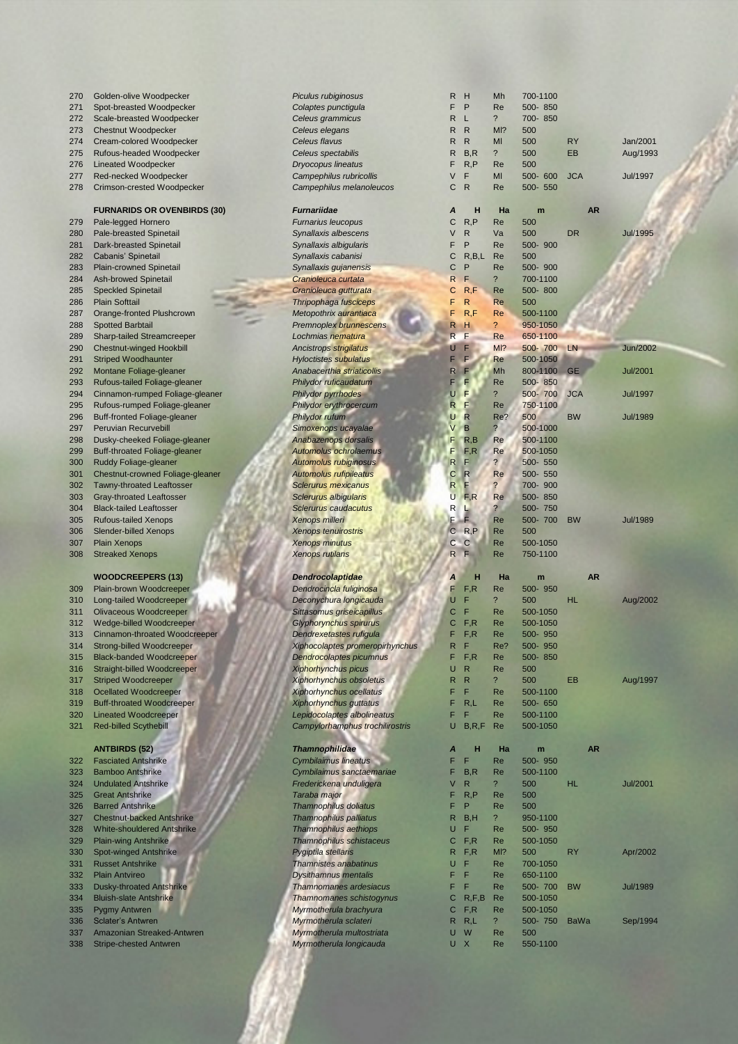| 270        | Golden-olive Woodpecker                                     | Piculus rubiginosus                                  | R              | H            | Mh                       | 700-1100 |             |                 |
|------------|-------------------------------------------------------------|------------------------------------------------------|----------------|--------------|--------------------------|----------|-------------|-----------------|
| 271        | Spot-breasted Woodpecker                                    | Colaptes punctigula                                  | F              | P            | Re                       | 500-850  |             |                 |
| 272        | Scale-breasted Woodpecker                                   | Celeus grammicus                                     | R              | - L          | $\ddot{\phantom{0}}$     | 700-850  |             |                 |
| 273        | <b>Chestnut Woodpecker</b>                                  | Celeus elegans                                       | R              | $\mathsf{R}$ | MI?                      | 500      |             |                 |
| 274        | Cream-colored Woodpecker                                    | Celeus flavus                                        | R              | $\mathsf{R}$ | MI                       | 500      | <b>RY</b>   | Jan/2001        |
| 275        | Rufous-headed Woodpecker                                    | Celeus spectabilis                                   | R              | B, R         | $\overline{\mathcal{E}}$ | 500      | EB          | Aug/1993        |
| 276        | <b>Lineated Woodpecker</b>                                  | <b>Dryocopus lineatus</b>                            | F              | R, P         | Re                       | 500      |             |                 |
| 277        | Red-necked Woodpecker                                       | Campephilus rubricollis                              | V              | F            | MI                       | 500- 600 | <b>JCA</b>  | <b>Jul/1997</b> |
|            |                                                             |                                                      |                |              |                          |          |             |                 |
| 278        | Crimson-crested Woodpecker                                  | Campephilus melanoleucos                             | С              | $\mathsf{R}$ | Re                       | 500- 550 |             |                 |
|            |                                                             |                                                      |                |              |                          |          |             |                 |
|            | <b>FURNARIDS OR OVENBIRDS (30)</b>                          | <b>Furnariidae</b>                                   | Α              | н            | Ha                       | m        | <b>AR</b>   |                 |
| 279        | Pale-legged Hornero                                         | <b>Furnarius leucopus</b>                            | С              | R, P         | Re                       | 500      |             |                 |
| 280        | Pale-breasted Spinetail                                     | Synallaxis albescens                                 | ٧              | $\mathsf{R}$ | Va                       | 500      | <b>DR</b>   | <b>Jul/1995</b> |
| 281        | Dark-breasted Spinetail                                     | Synallaxis albigularis                               | F              | P            | Re                       | 500-900  |             |                 |
| 282        | Cabanis' Spinetail                                          | Synallaxis cabanisi                                  | С              | R, B, L      | Re                       | 500      |             |                 |
| 283        | <b>Plain-crowned Spinetail</b>                              | Synallaxis gujanensis                                | С              | P            | Re                       | 500-900  |             |                 |
|            |                                                             |                                                      |                | F.           |                          |          |             |                 |
| 284        | <b>Ash-browed Spinetail</b>                                 | Cranioleuca curtata                                  | R              |              | $\overline{\mathcal{E}}$ | 700-1100 |             |                 |
| 285        | <b>Speckled Spinetail</b>                                   | Cranioleuca gutturata                                | С              | R, F         | Re                       | 500-800  |             |                 |
| 286        | <b>Plain Softtail</b>                                       | Thripophaga fusciceps                                | F              | $\mathsf{R}$ | Re                       | 500      |             |                 |
| 287        | Orange-fronted Plushcrown                                   | Metopothrix aurantiaca                               | F              | R, F         | Re                       | 500-1100 |             |                 |
| 288        | <b>Spotted Barbtail</b>                                     | <b>Premnoplex brunnescens</b>                        | R              | н            | ?                        | 950-1050 |             |                 |
| 289        | <b>Sharp-tailed Streamcreeper</b>                           | Lochmias nematura                                    | R              | F            | Re                       | 650-1100 |             |                 |
| 290        | <b>Chestnut-winged Hookbill</b>                             | <b>Ancistrops strigilatus</b>                        | U              | F            | M12                      | 500-700  | LN          | <b>Jun/2002</b> |
| 291        | <b>Striped Woodhaunter</b>                                  | <b>Hyloctistes subulatus</b>                         | F              | F.           | Re                       | 500-1050 |             |                 |
|            |                                                             |                                                      |                |              |                          |          |             |                 |
| 292        | Montane Foliage-gleaner                                     | Anabacerthia striaticollis                           | R              | F            | Mh                       | 800-1100 | <b>GE</b>   | <b>Jul/2001</b> |
| 293        | Rufous-tailed Foliage-gleaner                               | Philydor ruficaudatum                                | F              | F            | Re                       | 500-850  |             |                 |
| 294        | Cinnamon-rumped Foliage-gleaner                             | <b>Philydor pyrrhodes</b>                            | U              | F            | $\ddot{?}$               | 500-700  | <b>JCA</b>  | <b>Jul/1997</b> |
| 295        | Rufous-rumped Foliage-gleaner                               | Philydor erythrocercum                               | R              | F            | Re                       | 750-1100 |             |                 |
| 296        | <b>Buff-fronted Foliage-gleaner</b>                         | Philydor rufum                                       | U              | R            | Re?                      | 500      | <b>BW</b>   | <b>Jul/1989</b> |
| 297        | <b>Peruvian Recurvebill</b>                                 | Simoxenops ucayalae                                  | V              | B            | $\overline{?}$           | 500-1000 |             |                 |
| 298        | Dusky-cheeked Foliage-gleaner                               | Anabazenops dorsalis                                 | F              | R, B         | Re                       | 500-1100 |             |                 |
| 299        | <b>Buff-throated Foliage-gleaner</b>                        | <b>Automolus ochrolaemus</b>                         | F              | F, R         | Re                       | 500-1050 |             |                 |
|            |                                                             |                                                      | R              | F            | $\overline{\mathbf{?}}$  |          |             |                 |
| 300        | <b>Ruddy Foliage-gleaner</b>                                | <b>Automolus rubiginosus</b>                         |                |              |                          | 500- 550 |             |                 |
| 301        | Chestnut-crowned Foliage-gleaner                            | <b>Automolus rufipileatus</b>                        | С              | $\mathsf{R}$ | <b>Re</b>                | 500- 550 |             |                 |
| 302        | <b>Tawny-throated Leaftosser</b>                            | <b>Sclerurus mexicanus</b>                           | $\mathsf{R}$   | F            | $\overline{?}$           | 700-900  |             |                 |
| 303        | <b>Gray-throated Leaftosser</b>                             | Sclerurus albigularis                                | U              | F, R         | Re                       | 500-850  |             |                 |
| 304        | <b>Black-tailed Leaftosser</b>                              | Sclerurus caudacutus                                 | R              |              | $\overline{\mathbf{?}}$  | 500-750  |             |                 |
| 305        | <b>Rufous-tailed Xenops</b>                                 | <b>Xenops milleri</b>                                | F              | Ē            | Re                       | 500-700  | <b>BW</b>   | <b>Jul/1989</b> |
| 306        | <b>Slender-billed Xenops</b>                                | <b>Xenops tenuirostris</b>                           | $\overline{C}$ | R, P         | Re                       | 500      |             |                 |
| 307        | <b>Plain Xenops</b>                                         | <b>Xenops minutus</b>                                | С              | $\mathbf C$  | Re                       | 500-1050 |             |                 |
| 308        | <b>Streaked Xenops</b>                                      | <b>Xenops rutilans</b>                               | $\mathsf{R}$   | F            | Re                       | 750-1100 |             |                 |
|            |                                                             |                                                      |                |              |                          |          |             |                 |
|            |                                                             |                                                      |                |              |                          |          |             |                 |
|            | <b>WOODCREEPERS (13)</b>                                    | <b>Dendrocolaptidae</b>                              | Α              | н            | Ha                       | m        | <b>AR</b>   |                 |
| 309        | Plain-brown Woodcreeper                                     | Dendrocincla fuliginosa                              | F              | F, R         | Re                       | 500-950  |             |                 |
| 310        | Long-tailed Woodcreeper                                     | Deconychura longicauda                               | U              | F            | $\overline{\phantom{a}}$ | 500      | <b>HL</b>   | Aug/2002        |
| 311        | <b>Olivaceous Woodcreeper</b>                               | Sittasomus griseicapillus                            | C              | F            | Re                       | 500-1050 |             |                 |
| 312        | Wedge-billed Woodcreeper                                    | Glyphorynchus spirurus                               | С              | F, R         | Re                       | 500-1050 |             |                 |
| 313        | Cinnamon-throated Woodcreeper                               | Dendrexetastes rufigula                              | F              | F, R         | Re                       | 500-950  |             |                 |
| 314        | <b>Strong-billed Woodcreeper</b>                            | Xiphocolaptes promeropirhynchus                      | R              | F            | Re?                      | 500-950  |             |                 |
| 315        |                                                             |                                                      | F              |              |                          |          |             |                 |
|            | <b>Black-banded Woodcreeper</b>                             | Dendrocolaptes picumnus                              |                | F, R         | Re                       | 500-850  |             |                 |
| 316        | Straight-billed Woodcreeper                                 | <b>Xiphorhynchus picus</b>                           | U              | $\mathsf{R}$ | Re                       | 500      |             |                 |
| 317        | <b>Striped Woodcreeper</b>                                  | <b>Xiphorhynchus obsoletus</b>                       | R              | $\mathsf{R}$ | $\overline{\phantom{a}}$ | 500      | EB          | Aug/1997        |
| 318        | <b>Ocellated Woodcreeper</b>                                | <b>Xiphorhynchus ocellatus</b>                       | F              | F            | Re                       | 500-1100 |             |                 |
| 319        | <b>Buff-throated Woodcreeper</b>                            | Xiphorhynchus guttatus                               | F              | R,L          | Re                       | 500- 650 |             |                 |
| 320        | <b>Lineated Woodcreeper</b>                                 | Lepidocolaptes albolineatus                          | F              | F            | Re                       | 500-1100 |             |                 |
| 321        | <b>Red-billed Scythebill</b>                                | Campylorhamphus trochilirostris                      | U              | B, R, F      | Re                       | 500-1050 |             |                 |
|            |                                                             |                                                      |                |              |                          |          |             |                 |
|            | <b>ANTBIRDS (52)</b>                                        | <b>Thamnophilidae</b>                                | A              | н            | Ha                       | m        | <b>AR</b>   |                 |
|            |                                                             |                                                      | F              |              |                          |          |             |                 |
| 322        | <b>Fasciated Antshrike</b>                                  | Cymbilaimus lineatus                                 |                | F            | Re                       | 500- 950 |             |                 |
| 323        | <b>Bamboo Antshrike</b>                                     | Cymbilaimus sanctaemariae                            | F              | B, R         | Re                       | 500-1100 |             |                 |
| 324        | <b>Undulated Antshrike</b>                                  | Frederickena unduligera                              | V              | $\mathsf{R}$ | $\overline{\mathcal{E}}$ | 500      | HL          | <b>Jul/2001</b> |
| 325        | <b>Great Antshrike</b>                                      | Taraba major                                         | F              | R, P         | Re                       | 500      |             |                 |
| 326        | <b>Barred Antshrike</b>                                     | <b>Thamnophilus doliatus</b>                         | F              | P            | Re                       | 500      |             |                 |
| 327        | <b>Chestnut-backed Antshrike</b>                            | Thamnophilus palliatus                               | R              | B, H         | $\overline{\mathcal{E}}$ | 950-1100 |             |                 |
| 328        | <b>White-shouldered Antshrike</b>                           | Thamnophilus aethiops                                | U              | F            | Re                       | 500-950  |             |                 |
|            |                                                             |                                                      | С              | F, R         |                          | 500-1050 |             |                 |
|            |                                                             |                                                      |                |              |                          |          |             |                 |
| 329        | <b>Plain-wing Antshrike</b>                                 | <b>Thamnophilus schistaceus</b>                      |                |              | Re                       |          |             |                 |
| 330        | Spot-winged Antshrike                                       | Pygiptila stellaris                                  | R.             | F, R         | MI?                      | 500      | <b>RY</b>   | Apr/2002        |
| 331        | <b>Russet Antshrike</b>                                     | <b>Thamnistes anabatinus</b>                         | U              | F            | Re                       | 700-1050 |             |                 |
| 332        | <b>Plain Antvireo</b>                                       | <b>Dysithamnus mentalis</b>                          | F,             | F            | Re                       | 650-1100 |             |                 |
| 333        | <b>Dusky-throated Antshrike</b>                             | <b>Thamnomanes ardesiacus</b>                        | F              | F            | Re                       | 500-700  | <b>BW</b>   | <b>Jul/1989</b> |
| 334        | <b>Bluish-slate Antshrike</b>                               | <b>Thamnomanes schistogynus</b>                      | С              | R, F, B      | Re                       | 500-1050 |             |                 |
| 335        | Pygmy Antwren                                               | Myrmotherula brachyura                               | С              | F, R         | Re                       | 500-1050 |             |                 |
| 336        | <b>Sclater's Antwren</b>                                    | Myrmotherula sclateri                                |                | $R$ $R,L$    | $\overline{\phantom{a}}$ | 500-750  | <b>BaWa</b> | Sep/1994        |
|            |                                                             |                                                      | U              |              |                          | 500      |             |                 |
| 337<br>338 | Amazonian Streaked-Antwren<br><b>Stripe-chested Antwren</b> | Myrmotherula multostriata<br>Myrmotherula longicauda |                | W<br>U X     | Re<br>Re                 | 550-1100 |             |                 |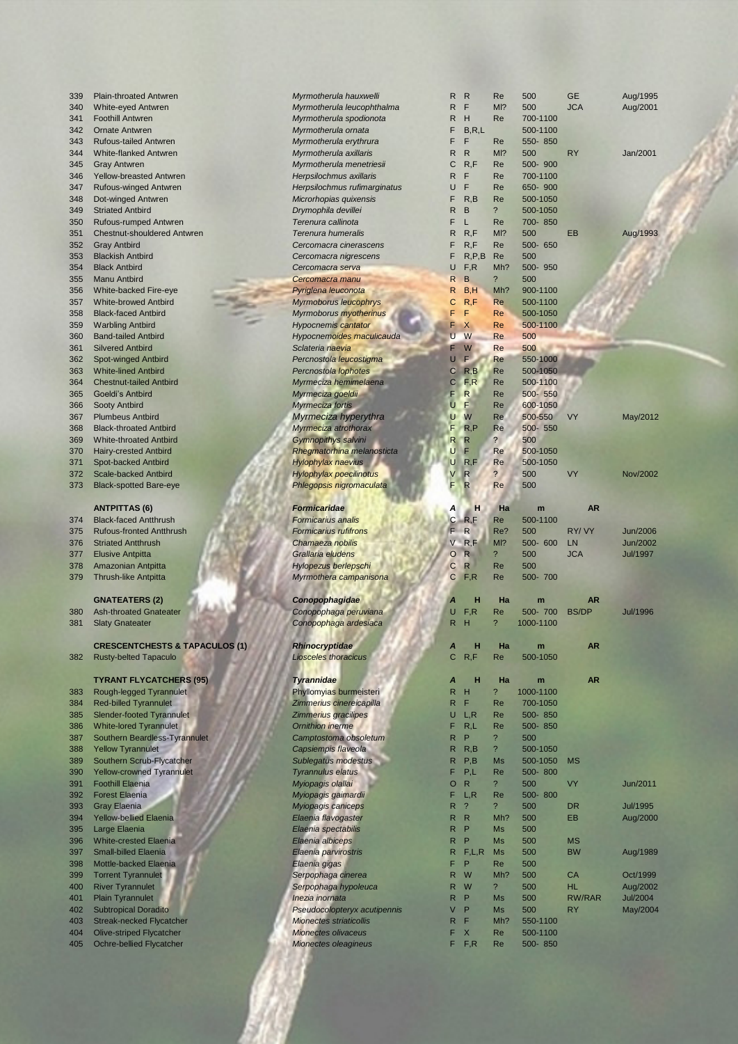### **ANTPITTAS (6) Formical** *Formical**ANTPITTAS*

- **374 Black-faced Antthrush** *Form*
- 
- 
- 378 Amazonian Antpitta **Hylopezus Berlepschi C Re 5000 Re 5000 Re 5000 Re 5000 Re 5000 Re 5000 Re 5000 Re 5000**
- 379 Thrush-like Antpitta *Myrmothera campanisona* C F,R Re 500- 700

### **GNATEATERS (2) <b>***Con*

- 
- 381 Slaty Gnateater *Conopophaga ardesiaca* R H ? 1000-1100

# **CRESCENTCHESTS & TAPACULOS (1) Rhin**

## **TYRANT FLYCATCHERS (95)** *Tyrannidae A* **H Ha m AR**

| 383 | Rough-legged Tyrannulet          |
|-----|----------------------------------|
| 384 | <b>Red-billed Tyrannulet</b>     |
| 385 | <b>Slender-footed Tyrannulet</b> |
| 386 | <b>White-lored Tyrannulet</b>    |
| 387 | Southern Beardless-Tyrannulet    |
| 388 | <b>Yellow Tyrannulet</b>         |
| 389 | Southern Scrub-Flycatcher        |
| 390 | <b>Yellow-crowned Tyrannulet</b> |
| 391 | <b>Foothill Elaenia</b>          |
| 392 | <b>Forest Elaenia</b>            |
| 393 | <b>Gray Elaenia</b>              |
| 394 | <b>Yellow-bellied Elaenia</b>    |
| 395 | Large Elaenia                    |
| 396 | <b>White-crested Elaenia</b>     |
| 397 | <b>Small-billed Elaenia</b>      |
| 398 | Mottle-backed Elaenia            |
| 399 | <b>Torrent Tyrannulet</b>        |
| 400 | <b>River Tyrannulet</b>          |
| 401 | <b>Plain Tyrannulet</b>          |
| 402 | <b>Subtropical Doradito</b>      |
| 403 | <b>Streak-necked Flycatcher</b>  |
| 404 | <b>Olive-striped Flycatcher</b>  |
|     |                                  |

| $\sim$ | <b>Shvo Stripod Fryodtonon</b>  |  |
|--------|---------------------------------|--|
| 405    | <b>Ochre-bellied Flycatcher</b> |  |

| 339        | <b>Plain-throated Antwren</b>                               | Myrmotherula hauxwelli                    | R      | $\mathsf{R}$                  | Re                              | 500                 | <b>GE</b>       | Aug/1995        |
|------------|-------------------------------------------------------------|-------------------------------------------|--------|-------------------------------|---------------------------------|---------------------|-----------------|-----------------|
| 340        | White-eyed Antwren                                          | Myrmotherula leucophthalma                | R      | F                             | MI?                             | 500                 | <b>JCA</b>      | Aug/2001        |
| 341        | <b>Foothill Antwren</b>                                     | Myrmotherula spodionota                   | R      | Н                             | Re                              | 700-1100            |                 |                 |
| 342        | <b>Ornate Antwren</b>                                       | Myrmotherula ornata                       | F      | B, R, L                       |                                 | 500-1100            |                 |                 |
| 343        | <b>Rufous-tailed Antwren</b>                                | Myrmotherula erythrura                    | F      | F                             | Re                              | 550-850             |                 |                 |
| 344        | <b>White-flanked Antwren</b>                                | Myrmotherula axillaris                    | R      | R                             | MI?                             | 500                 | <b>RY</b>       | Jan/2001        |
| 345        | <b>Gray Antwren</b>                                         | Myrmotherula menetriesii                  | С      | R, F                          | Re                              | 500-900             |                 |                 |
| 346        | <b>Yellow-breasted Antwren</b>                              | Herpsilochmus axillaris                   | R      | F                             | Re                              | 700-1100            |                 |                 |
| 347        | Rufous-winged Antwren                                       | Herpsilochmus rufimarginatus              | U      | F                             | Re                              | 650-900             |                 |                 |
| 348        | Dot-winged Antwren                                          | Microrhopias quixensis                    | F      | R, B                          | Re<br>$\overline{\phantom{a}}$  | 500-1050            |                 |                 |
| 349        | <b>Striated Antbird</b>                                     | Drymophila devillei                       | R      | в                             | Re                              | 500-1050<br>700-850 |                 |                 |
| 350        | Rufous-rumped Antwren<br><b>Chestnut-shouldered Antwren</b> | Terenura callinota<br>Terenura humeralis  | F<br>R | L<br>R, F                     | M <sub>1</sub> ?                | 500                 | EB              | Aug/1993        |
| 351<br>352 | <b>Gray Antbird</b>                                         | Cercomacra cinerascens                    | F      | R, F                          | Re                              | 500- 650            |                 |                 |
| 353        | <b>Blackish Antbird</b>                                     |                                           | F      | R, P, B                       | Re                              | 500                 |                 |                 |
| 354        | <b>Black Antbird</b>                                        | Cercomacra nigrescens<br>Cercomacra serva | U      | F, R                          | Mh?                             | 500-950             |                 |                 |
| 355        | Manu Antbird                                                | Cercomacra manu                           | R      | B                             | $\overline{\phantom{a}}$        | 500                 |                 |                 |
| 356        | White-backed Fire-eye                                       | Pyriglena leuconota                       | R      | B, H                          | Mh?                             | 900-1100            |                 |                 |
| 357        | <b>White-browed Antbird</b>                                 | Myrmoborus leucophrys                     | С      | R, F                          | Re                              | 500-1100            |                 |                 |
| 358        | <b>Black-faced Antbird</b>                                  | Myrmoborus myotherinus                    | F      | F                             | Re                              | 500-1050            |                 |                 |
| 359        | <b>Warbling Antbird</b>                                     | <b>Hypocnemis cantator</b>                | F      | X                             | Re                              | 500-1100            |                 |                 |
| 360        | <b>Band-tailed Antbird</b>                                  | Hypocnemoides maculicauda                 | U      | W                             | Re                              | 500                 |                 |                 |
| 361        | <b>Silvered Antbird</b>                                     | Sclateria naevia                          | F      | W                             | Re                              | 500                 |                 |                 |
| 362        | Spot-winged Antbird                                         | Percnostola leucostigma                   | U      | F.                            | Re                              | 550-1000            |                 |                 |
| 363        | <b>White-lined Antbird</b>                                  | Percnostola lophotes                      | C      | R, B                          | Re                              | 500-1050            |                 |                 |
| 364        | <b>Chestnut-tailed Antbird</b>                              | Myrmeciza hemimelaena                     | C      | F, R                          | Re                              | 500-1100            |                 |                 |
| 365        | <b>Goeldi's Antbird</b>                                     | Myrmeciza goeldii                         | F      | R                             | Re                              | 500- 550            |                 |                 |
| 366        | Sooty Antbird                                               | Myrmeciza fortis                          | Ü      | F                             | Re                              | 600-1050            |                 |                 |
| 367        | <b>Plumbeus Antbird</b>                                     | Myrmeciza hyperythra                      | υ      | W                             | Re                              | 500-550             | <b>VY</b>       | May/2012        |
| 368        | <b>Black-throated Antbird</b>                               | Myrmeciza atrothorax                      | F      | R, P                          | Re                              | 500- 550            |                 |                 |
| 369        | <b>White-throated Antbird</b>                               | <b>Gymnopithys salvini</b>                | R      | R                             | $\overline{?}$                  | 500                 |                 |                 |
| 370        | <b>Hairy-crested Antbird</b>                                | Rhegmatorhina melanosticta                | U      | F                             | Re                              | 500-1050            |                 |                 |
| 371        | Spot-backed Antbird                                         | Hylophylax naevius                        | U      | R, F                          | Re                              | 500-1050            |                 |                 |
| 372        | <b>Scale-backed Antbird</b>                                 | <b>Hylophylax poecilinotus</b>            | ٧      | $\mathsf{R}$                  | $\overline{?}$                  | 500                 | <b>VY</b>       | Nov/2002        |
| 373        | <b>Black-spotted Bare-eye</b>                               | Phlegopsis nigromaculata                  |        | R                             | Re                              | 500                 |                 |                 |
|            |                                                             |                                           |        |                               |                                 |                     |                 |                 |
|            | <b>ANTPITTAS (6)</b>                                        | <b>Formicaridae</b>                       | Α      | н                             | Ha                              | m                   | <b>AR</b>       |                 |
|            |                                                             |                                           |        |                               |                                 |                     |                 |                 |
|            |                                                             |                                           |        |                               |                                 |                     |                 |                 |
| 374        | <b>Black-faced Antthrush</b>                                | <b>Formicarius analis</b>                 | С      | R, F                          | <b>Re</b>                       | 500-1100            |                 |                 |
| 375        | <b>Rufous-fronted Antthrush</b>                             | <b>Formicarius rufifrons</b>              |        | $\mathsf{R}$                  | Re?                             | 500                 | RY/VY           | Jun/2006        |
| 376        | <b>Striated Antthrush</b>                                   | Chamaeza nobilis                          | V      | R, F                          | MI?                             | 500- 600            | LN              | <b>Jun/2002</b> |
| 377        | <b>Elusive Antpitta</b>                                     | Grallaria eludens                         | O      | R                             | $\overline{\phantom{a}}$        | 500                 | <b>JCA</b>      | Jul/1997        |
| 378        | Amazonian Antpitta                                          | Hylopezus berlepschi                      | С      | R                             | Re                              | 500                 |                 |                 |
| 379        | <b>Thrush-like Antpitta</b>                                 | Myrmothera campanisona                    | С      | F, R                          | Re                              | 500-700             |                 |                 |
|            |                                                             |                                           |        |                               |                                 |                     |                 |                 |
|            | <b>GNATEATERS (2)</b>                                       | Conopophagidae                            |        | н                             | Ha                              | m                   | <b>AR</b>       |                 |
| 380        | <b>Ash-throated Gnateater</b>                               | Conopophaga peruviana                     | U      | F, R                          | Re                              | 500-700             | <b>BS/DP</b>    | <b>Jul/1996</b> |
| 381        | <b>Slaty Gnateater</b>                                      | Conopophaga ardesiaca                     | R.     | н                             | $\overline{\phantom{a}}$        | 1000-1100           |                 |                 |
|            |                                                             |                                           |        |                               |                                 |                     |                 |                 |
|            | <b>CRESCENTCHESTS &amp; TAPACULOS (1)</b>                   | Rhinocryptidae                            |        |                               |                                 |                     | AR              |                 |
| 382        | <b>Rusty-belted Tapaculo</b>                                | <b>Liosceles thoracicus</b>               | C      | R, F                          | Re                              | 500-1050            |                 |                 |
|            |                                                             |                                           |        |                               |                                 |                     |                 |                 |
|            | <b>TYRANT FLYCATCHERS (95)</b>                              | <b>Tyrannidae</b>                         | A      | н                             | Ha                              | m                   | <b>AR</b>       |                 |
| 383        | Rough-legged Tyrannulet                                     | Phyllomyias burmeisteri                   | R      | н                             | $\ddot{\phantom{0}}$            | 1000-1100           |                 |                 |
| 384        | <b>Red-billed Tyrannulet</b>                                | Zimmerius cinereicapilla                  | R      | F                             | Re                              | 700-1050            |                 |                 |
| 385        | <b>Slender-footed Tyrannulet</b>                            | Zimmerius gracilipes                      | U      | L, R                          | Re                              | 500-850             |                 |                 |
| 386        | White-lored Tyrannulet                                      | Ornithion inerme                          | F      | R,L                           | Re                              | 500-850             |                 |                 |
| 387        | Southern Beardless-Tyrannulet                               | Camptostoma obsoletum                     | R      | P                             | $\overline{\phantom{a}}$        | 500                 |                 |                 |
| 388        | <b>Yellow Tyrannulet</b>                                    | Capsiempis flaveola                       | R      | R, B                          | $\overline{\mathcal{E}}$        | 500-1050            |                 |                 |
| 389        | Southern Scrub-Flycatcher                                   | Sublegatus modestus                       | R      | P, B                          | Ms                              | 500-1050            | <b>MS</b>       |                 |
| 390        | <b>Yellow-crowned Tyrannulet</b>                            | <b>Tyrannulus elatus</b>                  | F      | P,L                           | Re                              | 500-800             |                 |                 |
| 391        | <b>Foothill Elaenia</b>                                     | Myiopagis olallai                         | O      | R                             | $\overline{\mathcal{E}}$        | 500                 | VY              | Jun/2011        |
| 392        | <b>Forest Elaenia</b>                                       | Myiopagis gaimardii                       | F      | L, R                          | Re                              | 500-800             |                 |                 |
| 393<br>394 | <b>Gray Elaenia</b>                                         | <b>Myiopagis caniceps</b>                 | R<br>R | $\overline{\phantom{a}}$<br>R | $\overline{\phantom{a}}$<br>Mh? | 500<br>500          | <b>DR</b><br>EB | <b>Jul/1995</b> |
| 395        | Yellow-bellied Elaenia                                      | Elaenia flavogaster                       | R      | P                             | Ms                              | 500                 |                 | Aug/2000        |
| 396        | Large Elaenia<br><b>White-crested Elaenia</b>               | Elaenia spectabilis<br>Elaenia albiceps   | R      | P                             | <b>Ms</b>                       | 500                 | <b>MS</b>       |                 |
| 397        | <b>Small-billed Elaenia</b>                                 |                                           | R      | F,L,R                         | Ms                              | 500                 | <b>BW</b>       |                 |
| 398        | Mottle-backed Elaenia                                       | Elaenia parvirostris                      | F      | P                             | Re                              | 500                 |                 | Aug/1989        |
| 399        | <b>Torrent Tyrannulet</b>                                   | Elaenia gigas<br>Serpophaga cinerea       | R      | W                             | Mh?                             | 500                 | CA              | Oct/1999        |
| 400        | <b>River Tyrannulet</b>                                     | Serpophaga hypoleuca                      | R      | W                             | $\overline{\phantom{a}}$        | 500                 | <b>HL</b>       | Aug/2002        |
| 401        | <b>Plain Tyrannulet</b>                                     | Inezia inornata                           | R      | P                             | Ms                              | 500                 | RW/RAR          | <b>Jul/2004</b> |
| 402        | <b>Subtropical Doradito</b>                                 | Pseudocolopteryx acutipennis              | V      | P                             | <b>Ms</b>                       | 500                 | <b>RY</b>       | May/2004        |
| 403        | <b>Streak-necked Flycatcher</b>                             | <b>Mionectes striaticollis</b>            | R      | F                             | Mh?                             | 550-1100            |                 |                 |
| 404        | <b>Olive-striped Flycatcher</b>                             | <b>Mionectes olivaceus</b>                | F      | X                             | Re                              | 500-1100            |                 |                 |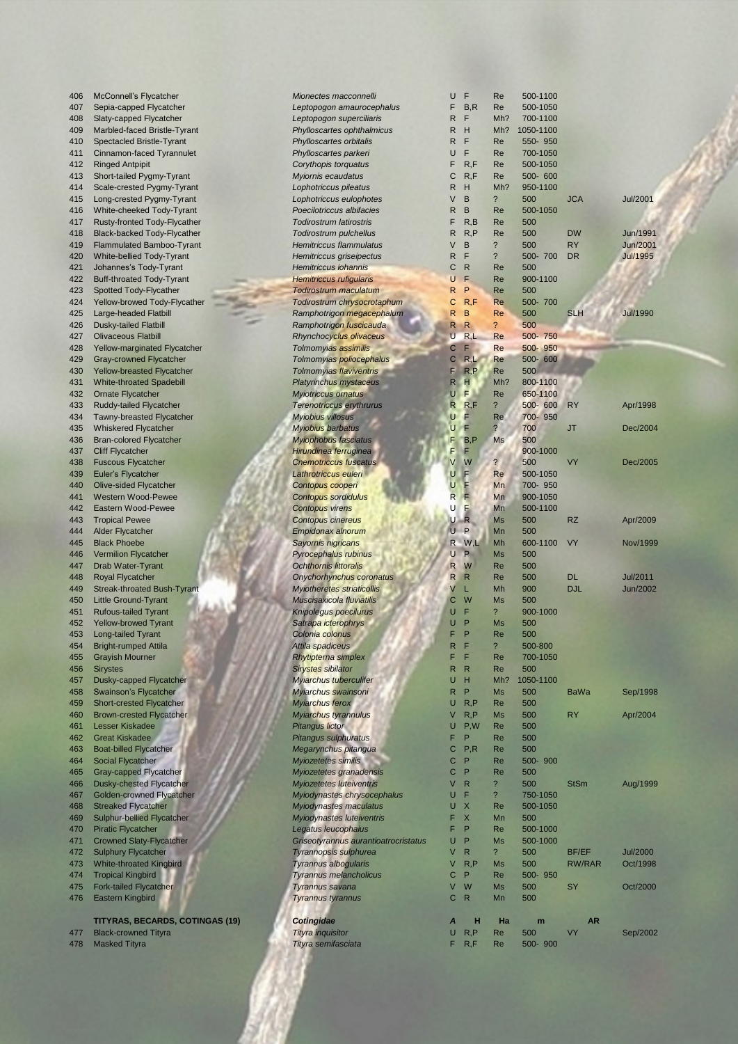| 406 | McConnell's Flycatcher                 | Mionectes macconnelli                | U            | F            | Re                       | 500-1100       |             |                 |
|-----|----------------------------------------|--------------------------------------|--------------|--------------|--------------------------|----------------|-------------|-----------------|
| 407 | Sepia-capped Flycatcher                | Leptopogon amaurocephalus            | F            | B, R         | Re                       | 500-1050       |             |                 |
| 408 | Slaty-capped Flycatcher                | Leptopogon superciliaris             | R            | F            | Mh?                      | 700-1100       |             |                 |
| 409 | Marbled-faced Bristle-Tyrant           | Phylloscartes ophthalmicus           | R            | Η            | Mh?                      | 1050-1100      |             |                 |
| 410 | Spectacled Bristle-Tyrant              | Phylloscartes orbitalis              | R            | F            | Re                       | 550-950        |             |                 |
| 411 | Cinnamon-faced Tyrannulet              | Phylloscartes parkeri                | U            | F            | Re                       | 700-1050       |             |                 |
| 412 | <b>Ringed Antpipit</b>                 | Corythopis torquatus                 | F            | R, F         | Re                       | 500-1050       |             |                 |
|     |                                        |                                      |              |              |                          |                |             |                 |
| 413 | Short-tailed Pygmy-Tyrant              | <b>Myiornis ecaudatus</b>            | C            | R, F         | Re                       | 500- 600       |             |                 |
| 414 | Scale-crested Pygmy-Tyrant             | Lophotriccus pileatus                | R            | н            | Mh?                      | 950-1100       |             |                 |
| 415 | Long-crested Pygmy-Tyrant              | Lophotriccus eulophotes              | V            | B            | $\ddot{?}$               | 500            | <b>JCA</b>  | Jul/2001        |
| 416 | White-cheeked Tody-Tyrant              | Poecilotriccus albifacies            | R            | B            | Re                       | 500-1050       |             |                 |
| 417 | <b>Rusty-fronted Tody-Flycather</b>    | <b>Todirostrum latirostris</b>       | F            | R, B         | Re                       | 500            |             |                 |
| 418 | <b>Black-backed Tody-Flycather</b>     | Todirostrum pulchellus               | R            | R, P         | Re                       | 500            | <b>DW</b>   | Jun/1991        |
| 419 | <b>Flammulated Bamboo-Tyrant</b>       | <b>Hemitriccus flammulatus</b>       | V            | B            | $\ddot{?}$               | 500            | <b>RY</b>   | Jun/2001        |
| 420 | White-bellied Tody-Tyrant              | <b>Hemitriccus griseipectus</b>      | R            | F            | $\overline{\phantom{a}}$ | 500-700        | <b>DR</b>   | <b>Jul/1995</b> |
|     |                                        |                                      |              |              |                          |                |             |                 |
| 421 | Johannes's Tody-Tyrant                 | <b>Hemitriccus iohannis</b>          | С            | $\mathsf{R}$ | Re                       | 500            |             |                 |
| 422 | <b>Buff-throated Tody-Tyrant</b>       | <b>Hemitriccus rufigularis</b>       | U            | F            | Re                       | 900-1100       |             |                 |
| 423 | Spotted Tody-Flycather                 | Todirostrum maculatum                | R            | P            | Re                       | 500            |             |                 |
| 424 | Yellow-browed Tody-Flycather           | Todirostrum chrysocrotaphum          | C            | R, F         | Re                       | 500-700        |             |                 |
| 425 | Large-headed Flatbill                  | Ramphotrigon megacephalum            | R            | B            | Re                       | 500            | <b>SLH</b>  | <b>Jul/1990</b> |
| 426 | <b>Dusky-tailed Flatbill</b>           | Ramphotrigon fuscicauda              | R            | $\mathsf{R}$ | $\overline{\mathcal{E}}$ | 500            |             |                 |
| 427 | <b>Olivaceous Flatbill</b>             | Rhynchocyclus olivaceus              | U            | R,L          | Re                       | 500-750        |             |                 |
| 428 | Yellow-marginated Flycatcher           | Tolmomyias assimilis                 | С            | F            | Re                       | 950<br>$500 -$ |             |                 |
| 429 |                                        |                                      | С            | R,L          | Re                       | 500-600        |             |                 |
|     | Gray-crowned Flycatcher                | Tolmomyias poliocephalus             |              |              |                          |                |             |                 |
| 430 | Yellow-breasted Flycatcher             | Tolmomyias flaviventris              | F            | R, P         | Re                       | 500            |             |                 |
| 431 | <b>White-throated Spadebill</b>        | <b>Platyrinchus mystaceus</b>        | R            | н            | Mh?                      | 800-1100       |             |                 |
| 432 | <b>Ornate Flycatcher</b>               | <b>Myiotriccus ornatus</b>           | U            | F            | Re                       | 650-1100       |             |                 |
| 433 | Ruddy-tailed Flycatcher                | <b>Terenotriccus erythrurus</b>      | R            | R, F         | $\overline{\phantom{a}}$ | 500- 600       | RY          | Apr/1998        |
| 434 | <b>Tawny-breasted Flycatcher</b>       | <b>Myiobius villosus</b>             | υ            | F            | Re                       | 700-950        |             |                 |
| 435 | <b>Whiskered Flycatcher</b>            | <b>Myiobius barbatus</b>             | U            | F            | $\overline{?}$           | 700            | JT          | Dec/2004        |
| 436 | <b>Bran-colored Flycatcher</b>         | <b>Myiophobus fasciatus</b>          | F            | B, P         | Ms                       | 500            |             |                 |
|     |                                        |                                      | F            | F            |                          | 900-1000       |             |                 |
| 437 | <b>Cliff Flycatcher</b>                | Hirundinea ferruginea                |              |              |                          |                |             |                 |
| 438 | <b>Fuscous Flycatcher</b>              | <b>Cnemotriccus fuscatus</b>         |              | W            | $\overline{\mathcal{E}}$ | 500            | VY          | Dec/2005        |
| 439 | Euler's Flycatcher                     | Lathrotriccus euleri                 | U            | F            | Re                       | 500-1050       |             |                 |
| 440 | Olive-sided Flycatcher                 | Contopus cooperi                     | U            | F            | Mn                       | 700-950        |             |                 |
| 441 | <b>Western Wood-Pewee</b>              | Contopus sordidulus                  | R            | F            | Mn                       | 900-1050       |             |                 |
| 442 | Eastern Wood-Pewee                     | <b>Contopus virens</b>               | U            | E            | Mn                       | 500-1100       |             |                 |
| 443 | <b>Tropical Pewee</b>                  | <b>Contopus cinereus</b>             | U            | R            | <b>Ms</b>                | 500            | <b>RZ</b>   | Apr/2009        |
| 444 | <b>Alder Flycatcher</b>                | <b>Empidonax alnorum</b>             | U            | P            | Mn                       | 500            |             |                 |
|     |                                        |                                      |              |              |                          |                |             |                 |
| 445 | <b>Black Phoebe</b>                    | Sayornis nigricans                   | R            | W.L          | Mh                       | 600-1100       | <b>VY</b>   | Nov/1999        |
| 446 | <b>Vermilion Flycatcher</b>            | Pyrocephalus rubinus                 | U            | P            | <b>Ms</b>                | 500            |             |                 |
| 447 | Drab Water-Tyrant                      | <b>Ochthornis littoralis</b>         | R            | W            | Re                       | 500            |             |                 |
| 448 | <b>Royal Flycatcher</b>                | Onychorhynchus coronatus             | R            | $\mathsf{R}$ | Re                       | 500            | <b>DL</b>   | <b>Jul/2011</b> |
| 449 | <b>Streak-throated Bush-Tyrant</b>     | <b>Myiotheretes striaticollis</b>    | V            | L            | Mh                       | 900            | <b>DJL</b>  | Jun/2002        |
| 450 | <b>Little Ground-Tyrant</b>            | Muscisaxicola fluviatilis            | С            | W            | <b>Ms</b>                | 500            |             |                 |
| 451 | <b>Rufous-tailed Tyrant</b>            | Knipolegus poecilurus                | U            | F            | $\overline{\mathcal{E}}$ | 900-1000       |             |                 |
| 452 | <b>Yellow-browed Tyrant</b>            | Satrapa icterophrys                  | U            | P            | <b>Ms</b>                | 500            |             |                 |
|     |                                        |                                      |              |              |                          |                |             |                 |
| 453 | <b>Long-tailed Tyrant</b>              | Colonia colonus                      | F            | P            | Re                       | 500            |             |                 |
| 454 | Bright-rumped Attila                   | Attila spadiceus                     | R            |              | Z                        | 500-800        |             |                 |
| 455 | <b>Grayish Mourner</b>                 | Rhytipterna simplex                  | F            | F            | Re                       | 700-1050       |             |                 |
| 456 | <b>Sirystes</b>                        | Sirystes sibilator                   | R            | $\mathsf{R}$ | Re                       | 500            |             |                 |
| 457 | Dusky-capped Flycatcher                | <b>Myjarchus tuberculifer</b>        | U            | H            | Mh?                      | 1050-1100      |             |                 |
| 458 | Swainson's Flycatcher                  | Myiarchus swainsoni                  | $\mathsf{R}$ | P            | Ms                       | 500            | <b>BaWa</b> | Sep/1998        |
| 459 | Short-crested Flycatcher               | Myiarchus ferox                      | U            | R, P         | Re                       | 500            |             |                 |
| 460 | <b>Brown-crested Flycatcher</b>        | Myiarchus tyrannulus                 | V            | R, P         | <b>Ms</b>                | 500            | <b>RY</b>   | Apr/2004        |
| 461 | Lesser Kiskadee                        |                                      | U            | P.W          | Re                       | 500            |             |                 |
|     |                                        | <b>Pitangus lictor</b>               |              |              |                          |                |             |                 |
| 462 | <b>Great Kiskadee</b>                  | Pitangus sulphuratus                 | F            | P            | Re                       | 500            |             |                 |
| 463 | <b>Boat-billed Flycatcher</b>          | Megarynchus pitangua                 | С            | P, R         | <b>Re</b>                | 500            |             |                 |
| 464 | Social Flycatcher                      | Myiozetetes similis                  | C            | P            | Re                       | 500-900        |             |                 |
| 465 | Gray-capped Flycatcher                 | Myiozetetes granadensis              | C            | P            | Re                       | 500            |             |                 |
| 466 | Dusky-chested Flycatcher               | <b>Myiozetetes luteiventris</b>      | V            | $\mathsf{R}$ | $\overline{\phantom{a}}$ | 500            | <b>StSm</b> | Aug/1999        |
| 467 | Golden-crowned Flycatcher              | Myiodynastes chrysocephalus          | U            | F            | $\overline{\phantom{a}}$ | 750-1050       |             |                 |
| 468 |                                        |                                      | U            | X            | Re                       | 500-1050       |             |                 |
|     | <b>Streaked Flycatcher</b>             | Myiodynastes maculatus               |              |              |                          |                |             |                 |
| 469 | <b>Sulphur-bellied Flycatcher</b>      | Myiodynastes luteiventris            | F            | X            | Mn                       | 500            |             |                 |
| 470 | <b>Piratic Flycatcher</b>              | Legatus leucophaius                  | F            | P            | Re                       | 500-1000       |             |                 |
| 471 | <b>Crowned Slaty-Flycatcher</b>        | Griseotyrannus aurantioatrocristatus | U            | P            | <b>Ms</b>                | 500-1000       |             |                 |
| 472 | <b>Sulphury Flycatcher</b>             | <b>Tyrannopsis sulphurea</b>         | V            | $\mathsf{R}$ | $\overline{\mathcal{E}}$ | 500            | BF/EF       | <b>Jul/2000</b> |
| 473 | <b>White-throated Kingbird</b>         | Tyrannus albogularis                 | V            | R, P         | <b>Ms</b>                | 500            | RW/RAR      | Oct/1998        |
| 474 | <b>Tropical Kingbird</b>               | <b>Tyrannus melancholicus</b>        | С            | P            | Re                       | 500-950        |             |                 |
| 475 | <b>Fork-tailed Flycatcher</b>          | Tyrannus savana                      | V            | W            | <b>Ms</b>                | 500            | <b>SY</b>   | Oct/2000        |
|     |                                        |                                      | C            | $\mathsf{R}$ |                          | 500            |             |                 |
| 476 | <b>Eastern Kingbird</b>                | <b>Tyrannus tyrannus</b>             |              |              | Mn                       |                |             |                 |
|     |                                        |                                      |              |              |                          |                |             |                 |
|     | <b>TITYRAS, BECARDS, COTINGAS (19)</b> | Cotingidae                           | A            | H            | Ha                       | m              | <b>AR</b>   |                 |
| 477 | <b>Black-crowned Tityra</b>            | <b>Tityra</b> inquisitor             | U            | R, P         | Re                       | 500            | VY          | Sep/2002        |
| 478 | <b>Masked Tityra</b>                   | Tityra semifasciata                  | F            | R, F         | Re                       | 500- 900       |             |                 |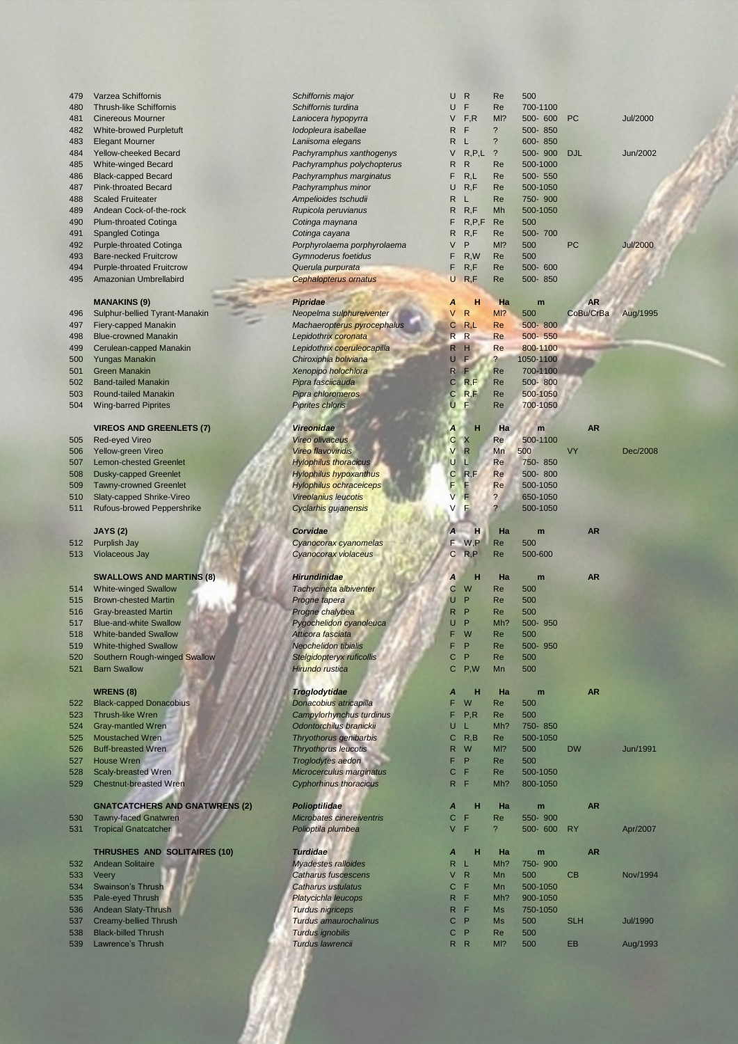| 479 | Varzea Schiffornis                | Schiffornis major              | U            | $\mathsf{R}$   | Re                       | 500       |            |                 |
|-----|-----------------------------------|--------------------------------|--------------|----------------|--------------------------|-----------|------------|-----------------|
| 480 | <b>Thrush-like Schiffornis</b>    | Schiffornis turdina            | U            | F              | Re                       | 700-1100  |            |                 |
| 481 | <b>Cinereous Mourner</b>          | Laniocera hypopyrra            | V            | F.R            | MI?                      | 500- 600  | <b>PC</b>  | <b>Jul/2000</b> |
| 482 | White-browed Purpletuft           | Iodopleura isabellae           | R            | F              | $\overline{\phantom{a}}$ | 500-850   |            |                 |
| 483 | <b>Elegant Mourner</b>            | Laniisoma elegans              | R            | L              | $\ddot{?}$               | 600-850   |            |                 |
| 484 | <b>Yellow-cheeked Becard</b>      | Pachyramphus xanthogenys       | V            | R, P, L        | $\overline{\phantom{0}}$ | 500-900   | <b>DJL</b> | Jun/2002        |
| 485 | <b>White-winged Becard</b>        | Pachyramphus polychopterus     | R            | $\mathsf{R}$   | Re                       | 500-1000  |            |                 |
| 486 | <b>Black-capped Becard</b>        | Pachyramphus marginatus        | F            | R,L            | Re                       | 500- 550  |            |                 |
| 487 | <b>Pink-throated Becard</b>       | Pachyramphus minor             | U            | R, F           | Re                       | 500-1050  |            |                 |
| 488 | <b>Scaled Fruiteater</b>          | Ampelioides tschudii           | R            | L              | Re                       | 750-900   |            |                 |
| 489 | Andean Cock-of-the-rock           | Rupicola peruvianus            | R            | R, F           | Mh                       | 500-1050  |            |                 |
| 490 | <b>Plum-throated Cotinga</b>      | Cotinga maynana                | F            | R, P, F        | Re                       | 500       |            |                 |
| 491 | Spangled Cotinga                  | Cotinga cayana                 | R            | R, F           | <b>Re</b>                | 500-700   |            |                 |
| 492 | <b>Purple-throated Cotinga</b>    | Porphyrolaema porphyrolaema    | V            | P              | MI?                      | 500       | <b>PC</b>  | <b>Jul/2000</b> |
| 493 | <b>Bare-necked Fruitcrow</b>      | <b>Gymnoderus foetidus</b>     | F            | R.W            | <b>Re</b>                | 500       |            |                 |
| 494 | <b>Purple-throated Fruitcrow</b>  | Querula purpurata              | F            | R, F           | <b>Re</b>                | 500-600   |            |                 |
| 495 | Amazonian Umbrellabird            | <b>Cephalopterus ornatus</b>   | U            | R, F           | Re                       | 500-850   |            |                 |
|     | <b>MANAKINS (9)</b>               | <b>Pipridae</b>                | Α            | н              | Ha                       | m         | <b>AR</b>  |                 |
| 496 | Sulphur-bellied Tyrant-Manakin    | Neopelma sulphureiventer       | $\vee$       | $\mathsf{R}$   | M12                      | 500       | CoBu/CrBa  | Aug/1995        |
| 497 | <b>Fiery-capped Manakin</b>       | Machaeropterus pyrocephalus    | С            | R,L            | Re                       | 500-800   |            |                 |
| 498 | <b>Blue-crowned Manakin</b>       | Lepidothrix coronata           |              | R <sub>R</sub> | <b>Re</b>                | 500-550   |            |                 |
| 499 | Cerulean-capped Manakin           | Lepidothrix coeruleocapilla    | R            | H              | Re                       | 800-1100  |            |                 |
| 500 | <b>Yungas Manakin</b>             | Chiroxiphia boliviana          | U.           | E              | $\overline{?}$           | 1050-1100 |            |                 |
| 501 | <b>Green Manakin</b>              | Xenopipo holochlora            | $\mathsf{R}$ | F              | Re                       | 700-1100  |            |                 |
| 502 | <b>Band-tailed Manakin</b>        | Pipra fasciicauda              | $\mathbf C$  | R, F           | Re                       | 500-800   |            |                 |
| 503 | Round-tailed Manakin              | Pipra chloromeros              | $\mathbf C$  | R, F           | Re                       | 500-1050  |            |                 |
| 504 | <b>Wing-barred Piprites</b>       | <b>Piprites chloris</b>        | U            | F              | Re                       | 700-1050  |            |                 |
|     | <b>VIREOS AND GREENLETS (7)</b>   | <b>Vireonidae</b>              | Α            | н              | Ha                       | m         | <b>AR</b>  |                 |
| 505 | <b>Red-eyed Vireo</b>             | <b>Vireo olivaceus</b>         | С            | $\mathsf{X}$   | Re                       | 500-1100  |            |                 |
| 506 | Yellow-green Vireo                | <b>Vireo flavoviridis</b>      | V            | $\mathsf{R}$   | Mn                       | 500       | <b>VY</b>  | Dec/2008        |
| 507 | <b>Lemon-chested Greenlet</b>     | <b>Hylophilus thoracicus</b>   | U            | п              | Re                       | 750-850   |            |                 |
| 508 | <b>Dusky-capped Greenlet</b>      | <b>Hylophilus hypoxanthus</b>  | С            | R, F           | Re                       | 500-800   |            |                 |
| 509 | <b>Tawny-crowned Greenlet</b>     | <b>Hylophilus ochraceiceps</b> | F            |                | Re                       | 500-1050  |            |                 |
| 510 | Slaty-capped Shrike-Vireo         | <b>Vireolanius leucotis</b>    |              |                | $\overline{\phantom{0}}$ | 650-1050  |            |                 |
| 511 | <b>Rufous-browed Peppershrike</b> | Cyclarhis gujanensis           |              |                | ?                        | 500-1050  |            |                 |
|     | <b>JAYS (2)</b>                   | Corvidae                       |              | н              | Ha                       | m         | <b>AR</b>  |                 |
| 512 | Purplish Jay                      | Cyanocorax cyanomelas          | F            | W.P            | Re                       | 500       |            |                 |
|     |                                   |                                |              |                |                          |           |            |                 |

### 513 Violaceous Jay **Cyanocorax violaceus**

# **SWALLOWS AND MARTINS (8)** *Hirundinidae*

- 514 White-winged Swallow **Tachycineta albiventer** C W Re 514 White-winged Swallow
- 515 Brown-chested Martin **Progne tapera** Progne tapera
- 516 Gray-breasted Martin **Progne chalybea**
- 517 Blue-and-white Swallow **Pygochelidon cyanoleus**<br>518 White-banded Swallow **Atticora fasciata**
- 518 White-banded Swallow **Atticora fasciata** F 2013 Atticora fasciata **F W Re 500 Atticora fasciata** F W Recorded E W Re 500 M Re 500 M Re 500 M Re 500 M Recorded E W Re 500 M Recorded E W Recorded E W Recorded E W Recorde 519 White-thighed Swallow
- 520 Southern Rough-winged Swallow **Stelgidopteryx ruficollis** CH<sub>I</sub> Relationships CHI<sub>I</sub> Relationships CHIII Relationships CHIII Relationships CHIII Relationships CHIII Relationships CHIII Relationships CHIII Relationships
- 521 Barn Swallow

- **WRENS (8)** *Troglodytidae Denacobius Denacobius A <b><i>Donacobius A <i>Donacobius A <i>Donacobius A <i>Donacobius A <i>Donacobius A <i>A A <i>A A A A A A A A A A A A* 522 Black-capped Donacobius *Donacobius Donacobius Donacobius atricapilla Campylorhynchus turd*
- 523 Thrush-like Wren **Campylorhynchus turdinus F**<br>524 Gray-mantled Wren **Campylorhynchus turdinus** Franckii
- 524 Gray-mantled Wren **Child Contorchilus branickii** U Ddontorchilus branickii U L Mh<br>525 Moustached Wren *Thryothorus genibarbis*
- 525 Moustached Wren **Thryothorus genibarb**<br>526 Buff-breasted Wren **Thryothorus Interventional Community** 526 Buff-breasted Wren
- **527** House Wren **Troglodytes aedon**
- 
- 528 Scaly-breasted Wren *Microcerculus margina*<br>529 Chestnut-breasted Wren *Cyphorhinus thoracicu* 529 Chestnut-breasted Wren

# **GNATCATCHERS AND GNATWRENS (2)** *Polioptilidae*

530 Tawny-faced Gnatwren **Microbates cinereivent**<br>531 Tropical Gnatcatcher **Microbates Containers** Polioptila plumbea 531 Tropical Gnatcatcher

# **Turdidae AND SOLITAIRES (10) Turdidae** *Andean Solitaire* **Andean Solitaire** *ARA <i>Myadestes ralloides*

- 532 Andean Solitaire
- **533** Veery **Catharus fuscescens**
- 534 Swainson's Thrush **Catharus ustulatus** Catharus ustulatus
- 535 Pale-eyed Thrush *Platycichla leucops* R F Mh? 900-1050
- 536 Andean Slaty-Thrush
- 537 Creamy-bellied Thrush **Turdus amaurochalinus** Creamy-bellied Thrush
- 538 Black-billed Thrush *Turdus ignobilis* C P Re 500
- 539 Lawrence's Thrush *Turdus lawrencii* R R Ml? 500 EB Aug/1993

|             |              | K L          | $\cdot$ .               | onn-opp          |                   |                      |
|-------------|--------------|--------------|-------------------------|------------------|-------------------|----------------------|
| genys       |              | $V$ R,P,L ?  |                         | 500-900          | <b>DJL</b>        | Jun/2002             |
| opterus     | R.           | R            | Re                      | 500-1000         |                   |                      |
| atus        | F.           | R,L          | Re                      | 500- 550         |                   |                      |
|             | U            |              |                         |                  |                   |                      |
|             |              | R, F         | Re                      | 500-1050         |                   |                      |
|             | R            | L.           | Re                      | 750-900          |                   |                      |
|             | R            | R, F         | Mh                      | 500-1050         |                   |                      |
|             | F.           | R, P, F      | Re                      | 500              |                   |                      |
|             | R            | R, F         | Re                      | 500-700          |                   |                      |
|             | V            | P.           | MI?                     |                  | PC                | <b>Jul/2000</b>      |
| rolaema     |              |              |                         | 500              |                   |                      |
|             | F.           | R, W         | Re                      | 500              |                   |                      |
|             | F.           | R, F         | Re                      | 500- 600         |                   |                      |
|             | U            | R, F         | Re                      | 500-850          |                   |                      |
|             |              |              |                         |                  |                   |                      |
|             | A            | H            | Ha                      | $\mathbf{m}$     | <b>AR</b>         |                      |
|             |              |              |                         |                  |                   |                      |
| <i>nter</i> | V            | $\mathsf{R}$ | $MI$ ?                  | 500              | CoBu/CrBa Aug/199 |                      |
| ephalus     | C            | R,L          | Re                      | 500-800          |                   |                      |
|             | R            | R            | Re                      | 500-550          |                   |                      |
| pilla       | R            | н            | <b>Re</b>               | 800-1100         |                   |                      |
|             |              | U F.         | $\overline{?}$          | 1050-1100        |                   |                      |
|             |              |              |                         |                  |                   |                      |
|             | $\mathsf{R}$ | F            | Re                      | 700-1100         |                   |                      |
|             | $\mathbf C$  | R, F         | Re                      | 500-800          |                   |                      |
|             | $\mathbf C$  | R, F         | Re                      | 500-1050         |                   |                      |
|             | U            | F.           | Re                      | 700-1050         |                   |                      |
|             |              |              |                         |                  |                   |                      |
|             |              |              |                         |                  |                   |                      |
|             | A            | н            | Ha                      | <b>Tim</b>       | <b>AR</b>         |                      |
|             | С            | X            | Re                      | 500-1100         |                   |                      |
|             | V.           | R<br>運       | Mn                      | 500              | <b>VY</b>         | Dec/200              |
|             | U            |              | Re                      | 750-850          |                   |                      |
|             |              | ш.           |                         | ø                |                   |                      |
| s           | С            | R, F         | Re                      | 500-800          |                   |                      |
| IS          | F            | F            | Re                      | 500-1050         |                   |                      |
|             | V            | F            | $\overline{\mathbf{?}}$ | 650-1050         |                   |                      |
|             | V            | E            | $\overline{?}$          | 500-1050         |                   |                      |
|             |              |              |                         |                  |                   |                      |
|             |              |              |                         |                  |                   |                      |
|             |              | A H          | Ha                      | m                | <b>AR</b>         |                      |
| 3S          |              | $F$ W,P      | Re                      | 500              |                   |                      |
|             |              | CR, P        | Re                      | 500-600          |                   |                      |
|             |              |              |                         |                  |                   |                      |
|             |              |              |                         |                  |                   |                      |
|             | $\mathbf{A}$ | н            | Ha                      | $\blacksquare$ m | <b>AR</b>         |                      |
|             | $\mathbf C$  | W            | Re                      | 500              |                   |                      |
|             | U            | P            | Re                      | 500              |                   |                      |
|             | R            | P            | Re                      | 500              |                   |                      |
|             |              |              |                         |                  |                   |                      |
| ca          | U            | P            | Mh?                     | 500-950          |                   |                      |
|             | F.           | W            | Re                      | 500              |                   |                      |
|             | F            | P            | Re                      | 500-950          |                   |                      |
|             | C            | P            | Re                      | 500              |                   |                      |
|             | C            | P,W          | Mn                      | 500              |                   |                      |
|             |              |              |                         |                  |                   |                      |
|             |              |              |                         |                  |                   |                      |
|             | A            | н            | Ha                      | m                | <b>AR</b>         |                      |
|             | F.           | W            | Re                      | 500              |                   |                      |
| inus        | F.           | P, R         | Re                      | 500              |                   |                      |
|             | U            | L            | Mh?                     | 750-850          |                   |                      |
|             |              |              |                         |                  |                   |                      |
|             | С            | R, B         | Re                      | 500-1050         |                   |                      |
|             | R            | W            | M <sub>1</sub> ?        | 500              | <b>DW</b>         | Jun/199 <sup>-</sup> |
|             | F.           | P            | Re                      | 500              |                   |                      |
| tus         | C            | F            | Re                      | 500-1050         |                   |                      |
| 3           | R            | F            | Mh?                     | 800-1050         |                   |                      |
|             |              |              |                         |                  |                   |                      |
|             |              |              |                         |                  |                   |                      |
|             | A            | н            | Ha                      | ٠<br>m           | <b>AR</b>         |                      |
| ris         | С            | F            | Re                      | 550-900          |                   |                      |
|             | V            | F            | $\overline{\mathbf{?}}$ | 500- 600         | <b>RY</b>         | Apr/2007             |
|             |              |              |                         |                  |                   |                      |
|             |              |              |                         |                  |                   |                      |
|             | A            | н            | Ha                      | m                | <b>AR</b>         |                      |
|             | R            | L            | Mh?                     | 750-900          |                   |                      |
|             | V            | $\mathsf{R}$ | Mn                      | 500              | CВ                | <b>Nov/199</b>       |
|             | С            | F            | Mn                      | 500-1050         |                   |                      |
|             | R            | F            |                         |                  |                   |                      |
|             |              |              | Mh?                     | 900-1050         |                   |                      |
|             | R.           | F            | Ms                      | 750-1050         |                   |                      |
| ŝ           | C            | P            | Ms                      | 500              | <b>SLH</b>        | <b>Jul/1990</b>      |
|             |              |              |                         |                  |                   |                      |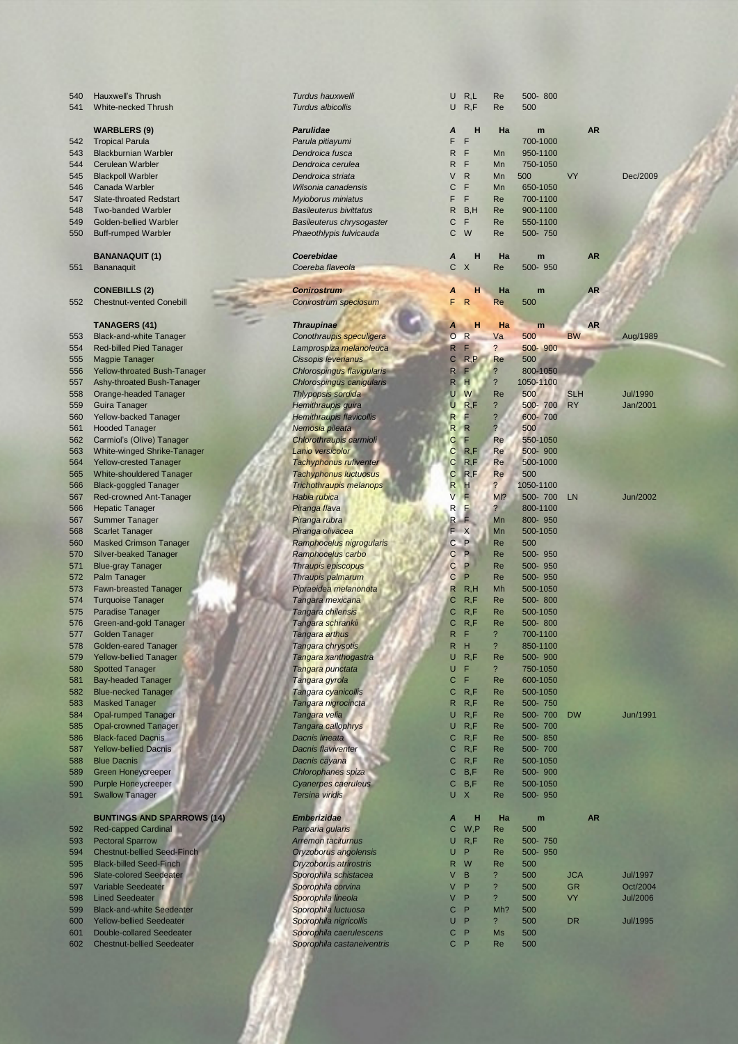541 White-necked Thrush **WARBLERS (9)** 542 Tropical Parula 543 Blackburnian Warbler 544 Cerulean Warbler 545 Blackpoll Warbler 546 Canada Warbler 547 Slate-throated Redstart 548 Two-banded Warbler 549 Golden-bellied Warbler 550 Buff-rumped Warbler **BANANAQUIT (1)** 551 Bananaquit  $COMEBILLS (2)$ 552 Chestnut-vented Conebill **TANAGERS (41)** 553 Black-and-white Tanager 554 Red-billed Pied Tanager 555 Magpie Tanager 556 Yellow-throated Bush-Tanager 557 Ashy-throated Bush-Tanager 558 Orange-headed Tanager 559 Guira Tanager 560 Yellow-backed Tanager 561 Hooded Tanager 562 Carmiol's (Olive) Tanager 563 White-winged Shrike-Tanager 564 Yellow-crested Tanager 565 White-shouldered Tanager 566 Black-goggled Tanager 567 Red-crowned Ant-Tanager 566 Hepatic Tanager 567 Summer Tanager 568 Scarlet Tanager 560 Masked Crimson Tanager 570 Silver-beaked Tanager 571 Blue-gray Tanager 572 Palm Tanager 573 Fawn-breasted Tanager 574 Turquoise Tanager 575 Paradise Tanager *Tangara chilensis* C R,F Re 500-1050 576 Green-and-gold Tanager 577 Golden Tanager 578 Golden-eared Tanager 579 Yellow-bellied Tanager 580 Spotted Tanager 581 Bay-headed Tanager 582 Blue-necked Tanager 583 Masked Tanager 584 Opal-rumped Tanager 585 Opal-crowned Tanager<br>586 Black-faced Dacnis **Black-faced Dacnis** 587 Yellow-bellied Dacnis 588 Blue Dacnis 589 Green Honeycreeper 590 Purple Honeycreeper 591 Swallow Tanager **BUNTINGS AND SPARROWS (14)** 592 Red-capped Cardinal 593 Pectoral Sparrow 594 Chestnut-bellied Seed-Finch 595 Black-billed Seed-Finch 596 Slate-colored Seedeater 597 Variable Seedeater 598 Lined Seedeater 599 Black-and-white Seedeater 600 Yellow-bellied Seedeater 601 Double-collared Seedeater 602 Chestnut-bellied Seedeater

540 Hauxwell's Thrush *Turdus hauxwelli* U R,L Re 500- 800

| Turdus hauxwelli                | U              | R,L          | Re                       | 500-800   |            |                 |
|---------------------------------|----------------|--------------|--------------------------|-----------|------------|-----------------|
| Turdus albicollis               | U              | R, F         | Re                       | 500       |            |                 |
|                                 |                |              |                          |           |            |                 |
| <b>Parulidae</b>                | Α              | н            | Ha                       | m         |            | <b>AR</b>       |
| Parula pitiayumi                | F              | F            |                          | 700-1000  |            |                 |
| Dendroica fusca                 | R              | F            | Mn                       | 950-1100  |            |                 |
| Dendroica cerulea               | R              | F            | Mn                       | 750-1050  |            |                 |
| Dendroica striata               | V              | R            | Mn                       | 500       | VY         | Dec/2009        |
|                                 | C              | F            | Mn                       |           |            |                 |
| Wilsonia canadensis             |                |              |                          | 650-1050  |            |                 |
| Myioborus miniatus              | F              | F            | Re                       | 700-1100  |            |                 |
| <b>Basileuterus bivittatus</b>  | R              | B, H         | Re                       | 900-1100  |            |                 |
| Basileuterus chrysogaster       | C              | F            | Re                       | 550-1100  |            |                 |
| Phaeothlypis fulvicauda         | C              | W            | Re                       | 500-750   |            |                 |
|                                 |                |              |                          |           |            |                 |
| Coerebidae                      | Α              | н            | Ha                       | m         |            | <b>AR</b>       |
| Coereba flaveola                | C              | Χ            | Re                       | 500- 950  |            |                 |
|                                 |                |              |                          |           |            |                 |
| <b>Conirostrum</b>              | Α              | н            | Ha                       | m         |            | <b>AR</b>       |
| Conirostrum speciosum           | F              | $\mathsf{R}$ | Re                       | 500       |            |                 |
|                                 |                |              |                          |           |            |                 |
|                                 |                | н            | Ha                       |           |            | <b>AR</b>       |
| <b>Thraupinae</b>               | A              |              |                          | m         | <b>BW</b>  |                 |
| Conothraupis speculigera        | $\overline{O}$ | $\mathsf{R}$ | Va                       | 500       |            | Aug/1989        |
| Lamprospiza melanoleuca         | R              | F            | $\overline{?}$           | 500-900   |            |                 |
| Cissopis leverianus             | C              | R, P         | Re                       | 500       |            |                 |
| Chlorospingus flavigularis      | R              | F            | $\ddot{\phantom{0}}$     | 800-1050  |            |                 |
| Chlorospingus canigularis       | R              | н            | $\overline{\phantom{a}}$ | 1050-1100 |            |                 |
| Thlypopsis sordida              | U              | W            | Re                       | 500       | <b>SLH</b> | <b>Jul/1990</b> |
| Hemithraupis guira              | U              | R, F         | $\overline{\mathcal{E}}$ | 500-700   | <b>RY</b>  | Jan/2001        |
| <b>Hemithraupis flavicollis</b> | R              | F            | $\overline{\mathbf{?}}$  | 600-700   |            |                 |
| Nemosia pileata                 | R              | R            | $\overline{\mathcal{E}}$ | 500       |            |                 |
| Chlorothraupis carmioli         | С              | F            | Re                       | 550-1050  |            |                 |
|                                 | C              |              |                          |           |            |                 |
| Lanio versicolor                |                | R,F          | Re                       | 500-900   |            |                 |
| Tachyphonus rufiventer          | C              | R, F         | Re                       | 500-1000  |            |                 |
| <b>Tachyphonus luctuosus</b>    | C              | R, F         | <b>Re</b>                | 500       |            |                 |
| Trichothraupis melanops         | R              | н            | ?                        | 1050-1100 |            |                 |
| Habia rubica                    | V              | F            | M <sub>1</sub> ?         | 500-700   | LN         | Jun/2002        |
| Piranga flava                   | R              | E            | $\ddot{\phantom{0}}$     | 800-1100  |            |                 |
| Piranga rubra                   | R              | F            | Mn                       | 800-950   |            |                 |
| Piranga olivacea                | F              | X            | Mn                       | 500-1050  |            |                 |
| Ramphocelus nigrogularis        | C              | P            | Re                       | 500       |            |                 |
| Ramphocelus carbo               | C              | P            | Re                       | 500-950   |            |                 |
| Thraupis episcopus              | C              | P            | Re                       | 500-950   |            |                 |
| Thraupis palmarum               | C              | P            | Re                       | 500-950   |            |                 |
| Pipraeidea melanonota           | R              | R, H         | Mh                       | 500-1050  |            |                 |
|                                 |                |              |                          |           |            |                 |
| Tangara mexicana                | С              | R, F         | Re                       | 500-800   |            |                 |
| Tangara chilensis               | C              | R, F         | Re                       | 500-1050  |            |                 |
| Tangara schrankii               | C              | R, F         | Re                       | 500-800   |            |                 |
| Tangara arthus                  | R              | F            | ?                        | 700-1100  |            |                 |
| Tangara chrysotis               | R              | н            | ?                        | 850-1100  |            |                 |
| Tangara xanthogastra            | U              | R, F         | Re                       | 500-900   |            |                 |
| Tangara punctata                | U              | F            | $\overline{\phantom{a}}$ | 750-1050  |            |                 |
| Tangara gyrola                  | C              | F            | Re                       | 600-1050  |            |                 |
| Tangara cyanicollis             | C              | R, F         | Re                       | 500-1050  |            |                 |
| Tangara nigrocincta             | $\mathsf{R}$   | R, F         | Re                       | 500-750   |            |                 |
| Tangara velia                   | U              | R, F         | Re                       | 500-700   | <b>DW</b>  | Jun/1991        |
| Tangara callophrys              | U              | R, F         | Re                       | 500-700   |            |                 |
| Dacnis lineata                  | C              | R, F         | Re                       | 500-850   |            |                 |
| <b>Dacnis flaviventer</b>       | C              | R, F         | Re                       | 500-700   |            |                 |
|                                 | C              | R, F         | Re                       | 500-1050  |            |                 |
| Dacnis cayana                   |                |              |                          |           |            |                 |
| Chlorophanes spiza              | C              | B, F         | Re                       | 500-900   |            |                 |
| Cyanerpes caeruleus             | $\mathsf{C}$   | B, F         | Re                       | 500-1050  |            |                 |
| Tersina viridis                 | U              | X            | Re                       | 500-950   |            |                 |
|                                 |                |              |                          |           |            |                 |
| <b>Emberizidae</b>              | A              | н            | Ha                       | m         |            | <b>AR</b>       |
| Paroaria gularis                | $\mathsf{C}$   | W,P          | Re                       | 500       |            |                 |
| <b>Arremon taciturnus</b>       | U              | R, F         | Re                       | 500-750   |            |                 |
| Oryzoborus angolensis           | U              | P            | Re                       | 500-950   |            |                 |
| Oryzoborus atrirostris          | $\mathsf{R}$   | W            | Re                       | 500       |            |                 |
| Sporophila schistacea           | V              | B            | ?                        | 500       | <b>JCA</b> | <b>Jul/1997</b> |
| Sporophila corvina              | V              | P            | $\overline{\phantom{a}}$ | 500       | <b>GR</b>  | Oct/2004        |
| Sporophila lineola              | V              | P            | ?                        | 500       | VY         | <b>Jul/2006</b> |
|                                 | C              | P            | Mh?                      |           |            |                 |
| Sporophila luctuosa             |                |              |                          | 500       |            |                 |
| Sporophila nigricollis          | U              | P            | $\overline{\phantom{a}}$ | 500       | <b>DR</b>  | <b>Jul/1995</b> |
| Sporophila caerulescens         | C              | P            | <b>Ms</b>                | 500       |            |                 |
| Sporophila castaneiventris      | C              | P            | Re                       | 500       |            |                 |